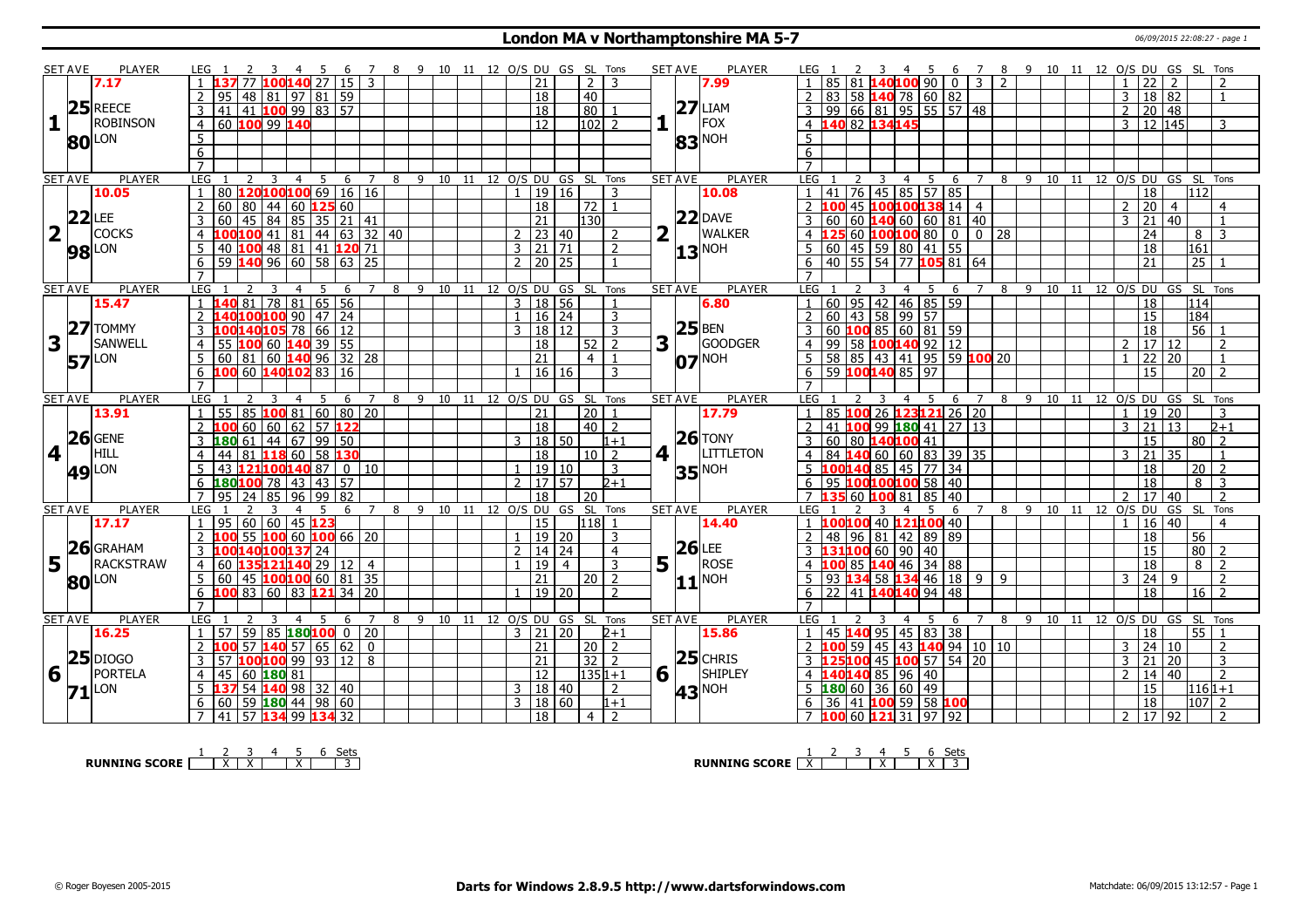#### **London MA v Northamptonshire MA 5-7** 06/09/2015 22:08:27 - page 1

|                         | <b>SET AVE</b> | <b>PLAYER</b>       | LEG 1                                    | 45                                           | 7 8 9 10 11 12 O/S DU GS SL Tons<br>6 |                                |  |                     |                              |                           | <b>SET AVE</b> | <b>PLAYER</b>            | LEG 1                                                                 |                             |                |           |       |                           | 4 5 6 7 8 9 10 11 12 O/S DU GS SL Tons     |
|-------------------------|----------------|---------------------|------------------------------------------|----------------------------------------------|---------------------------------------|--------------------------------|--|---------------------|------------------------------|---------------------------|----------------|--------------------------|-----------------------------------------------------------------------|-----------------------------|----------------|-----------|-------|---------------------------|--------------------------------------------|
|                         |                | 7.17                |                                          | 77 100140 27 15                              | $\mathbf{3}$                          |                                |  | 21                  | $\overline{2}$               | 3                         |                | 7.99                     |                                                                       | 140100900032                |                |           |       | $1 \mid 22$               | $\overline{2}$<br>$\mathcal{L}$            |
|                         |                |                     |                                          | 95   48   81   97   81   59                  |                                       |                                |  | $\overline{18}$     | 40                           |                           |                |                          | 83   58   <mark>140</mark> 78   60   82                               |                             |                |           |       | 18 82<br>3                |                                            |
|                         |                | $25$ REECE          | 3 <sup>1</sup>                           | $41$   41   100   99   83   57               |                                       |                                |  | 18                  | 80                           |                           |                | $27$ LIAM                | 99   66   81   95   55   57   48                                      |                             |                |           |       | 20 48<br>$\overline{2}$   |                                            |
| $\mathbf{1}$            |                | <b>ROBINSON</b>     | 60 100 99 140<br>4                       |                                              |                                       |                                |  | $\overline{12}$     | 102                          | 2                         |                | FOX                      | 140 82 134145<br>$\overline{4}$                                       |                             |                |           |       | 3 12 145                  | 3                                          |
|                         |                |                     | 5                                        |                                              |                                       |                                |  |                     |                              |                           |                |                          | 5                                                                     |                             |                |           |       |                           |                                            |
|                         |                | <b>80</b> LON       | $\overline{6}$                           |                                              |                                       |                                |  |                     |                              |                           |                | $ 83 $ <sup>NOH</sup>    | 6                                                                     |                             |                |           |       |                           |                                            |
|                         |                |                     | $\overline{7}$                           |                                              |                                       |                                |  |                     |                              |                           |                |                          | $\overline{7}$                                                        |                             |                |           |       |                           |                                            |
|                         | <b>SET AVE</b> | <b>PLAYER</b>       | <b>LEG</b><br>2                          | $\overline{4}$<br>5<br>3                     | 6 7                                   | 8 9 10 11 12 0/S DU GS SL Tons |  |                     |                              |                           | <b>SET AVE</b> | <b>PLAYER</b>            | <b>LEG</b><br>3                                                       | 5 6<br>$\overline{4}$       | $\overline{7}$ |           |       |                           | 8 9 10 11 12 0/S DU GS SL Tons             |
|                         |                | 10.05               | $\mathbf{1}$                             | 80 120100100 69 16 16                        |                                       |                                |  | 1   19   16         |                              | 3                         |                | 10.08                    | 1   41                                                                | $76$ 45 85 57 85            |                |           |       | $\overline{18}$           | 112                                        |
|                         |                |                     | 2 <sup>1</sup>                           | 60   80   44   60   125   60                 |                                       |                                |  | 18                  | 72                           | $\mathbf{1}$              |                |                          | 2 100 45 100 100 138 14 4                                             |                             |                |           |       | $2 \overline{20}$         | $\overline{4}$<br>$\overline{4}$           |
|                         |                | $22$ LEE            | 3                                        | 60 45 84 85 35 21 41                         |                                       |                                |  | $\overline{21}$     | 130                          |                           |                | $22$ DAVE                | 3<br>60                                                               |                             |                |           |       | $21 \mid 40$<br>3         | $\overline{1}$                             |
| $\overline{\mathbf{2}}$ |                | <b>COCKS</b>        |                                          | $00100$ 41   81   44   63   32   40          |                                       |                                |  | $2 \mid 23 \mid 40$ |                              |                           | $\mathbf{L}$   | <b>WALKER</b>            | L25 60 100100 80 0 0 28                                               |                             |                |           |       | 24                        | 8<br>3                                     |
|                         |                |                     | .5.                                      | 40 100 48 81 41 120 71                       |                                       |                                |  | 3   21   71         |                              | 2                         |                |                          | $\vert 60 \vert 45 \vert 59 \vert 80 \vert 41 \vert 55$<br>5          |                             |                |           |       | $\overline{18}$           | $\overline{161}$                           |
|                         |                | <b>98</b> LON       |                                          | $\overline{59}$ 140 96 60 58 63 25           |                                       |                                |  | 20 25               |                              |                           |                | $ 13 $ <sup>NOH</sup>    | 40 55 54 77 105 81 64                                                 |                             |                |           |       | $\overline{21}$           | $\overline{25}$                            |
|                         |                |                     |                                          |                                              |                                       |                                |  |                     |                              |                           |                |                          | 6                                                                     |                             |                |           |       |                           |                                            |
|                         | <b>SET AVE</b> | <b>PLAYER</b>       | LEG                                      | 5<br>4                                       | $7^{\circ}$<br>8                      |                                |  |                     | 9 10 11 12 O/S DU GS SL Tons |                           | <b>SET AVE</b> | <b>PLAYER</b>            | LEG                                                                   | 5 6<br>$\overline{4}$       | $\overline{7}$ | 8 9 10 11 |       |                           | 12 O/S DU GS SL Tons                       |
|                         |                | 15.47               |                                          | <b>40</b> 81 78 81 65 56                     | 6                                     |                                |  | 3   18   56         |                              |                           |                | 6.80                     | $60$ 95 42 46 85 59                                                   |                             |                |           |       | 18                        | 114                                        |
|                         |                |                     |                                          | L40 <mark>100</mark> 100 90 47 24            |                                       |                                |  | 1   16   24         |                              | 3                         |                |                          | $\boxed{60}$ $\boxed{43}$ $\boxed{58}$ $\boxed{99}$ $\boxed{57}$<br>2 |                             |                |           |       | 15                        | 184                                        |
|                         |                | $ 27 $ TOMMY        | $\overline{\mathsf{3}}$                  |                                              |                                       |                                |  | 3   18   12         |                              | 3                         |                | $25$ BEN                 | 3                                                                     |                             |                |           |       | $\overline{18}$           | 56 1                                       |
| 3                       |                | <b>SANWELL</b>      |                                          | LOO <mark>140</mark> 105 78 66 12            |                                       |                                |  |                     |                              |                           | $3^{1}$        | GOODGER                  |                                                                       |                             |                |           |       | 17 12<br>$\mathcal{P}$    |                                            |
|                         |                |                     | $\overline{4}$<br>5 <sup>1</sup>         | 55 <b>100</b> 60 <b>140</b> 39 55            |                                       |                                |  | 18                  | 52                           | 2<br>$\mathbf{1}$         |                |                          | 4 99 58 100 140 92 12                                                 |                             |                |           |       | $\overline{22}$           | $\overline{\phantom{a}}$<br>$\overline{1}$ |
|                         | 57             | LON                 |                                          |                                              |                                       |                                |  | $\overline{21}$     | $\overline{4}$               |                           |                | $O7$ <sup>NOH</sup>      | $5$   58   85   43   41   95   59   100   20                          |                             |                |           |       |                           | $\overline{20}$                            |
|                         |                |                     |                                          | 100 60 140102 83 16                          |                                       |                                |  | 16 16               |                              | 3                         |                |                          | $6$ 59 100140 85 97                                                   |                             |                |           |       | $\overline{15}$           | $\overline{20}$<br>$\overline{2}$          |
|                         | <b>SET AVE</b> | <b>PLAYER</b>       | LEG                                      | 5                                            | 8<br>6<br>$\overline{7}$              | 9 10 11 12 0/S DU GS SL        |  |                     |                              | Tons                      | <b>SET AVE</b> | <b>PLAYER</b>            | LEG <sub>1</sub>                                                      | -5                          | $\overline{7}$ |           |       | 8 9 10 11 12 0/S DU GS SL | Tons                                       |
|                         |                | 13.91               |                                          | 55 85 <b>100</b> 81 60 80 20                 |                                       |                                |  | 21                  | $\overline{20}$              |                           |                | 17.79                    | 85 100 26 123 121 26 20                                               | 6                           |                |           |       | 19 20                     | 3                                          |
|                         |                |                     |                                          | $60   60   62   57$ 122                      |                                       |                                |  | 18                  |                              | $\mathcal{L}$             |                |                          | $100$ 99 $180$ 41 27 13                                               |                             |                |           |       |                           | $2+1$<br>13                                |
|                         |                | $26$ GENE           |                                          |                                              |                                       |                                |  |                     |                              |                           |                |                          |                                                                       |                             |                |           |       |                           |                                            |
| 4                       |                |                     |                                          |                                              |                                       |                                |  |                     | 40 <sup>1</sup>              |                           |                |                          |                                                                       |                             |                |           |       | 21<br>3                   |                                            |
|                         |                |                     | 3  180  61  44  67  99  50               |                                              |                                       |                                |  | 3   18   50         |                              | $1 + 1$                   |                | $26$ TONY                | 60   80 <b>140100</b> 41<br>3                                         |                             |                |           |       | 15                        | 80 <sub>1</sub><br>$\overline{2}$          |
|                         |                | HILL                | $\overline{4}$                           | 44 81 138 60 58 130                          |                                       |                                |  | 18                  | $10 \mid 2$                  |                           | 4 1            | <b>LITTLETON</b>         | 84   140   60   60   83   39   35<br>$\overline{4}$                   |                             |                |           |       | 21<br>3                   | 35<br>$\overline{1}$                       |
|                         |                |                     | $5-1$                                    | 43 121100140 87 0 10                         |                                       |                                |  | 1   19   10         |                              | 3                         |                | $35$ <sup>NOH</sup>      | 5 $100140$ 85 45 77 34                                                |                             |                |           |       | 18                        | 20 <sup>1</sup><br>$\overline{2}$          |
|                         |                | <b>49</b> LON       | 6 $180100$ 78   43   43   57             |                                              |                                       |                                |  | 2 17 57             |                              | $2 + 1$                   |                |                          | 6   95 <b>100100100</b> 58   40                                       |                             |                |           |       | $\overline{18}$           | $\overline{8}$<br>-3                       |
|                         |                |                     | $\overline{7}$                           | $95 \mid 24 \mid 85 \mid 96 \mid 99 \mid 82$ |                                       |                                |  | $\overline{18}$     | 20                           |                           |                |                          | 7 135 60 100 81 85 40                                                 |                             |                |           |       | 17 40<br>$\overline{2}$   | $\overline{2}$                             |
|                         | <b>SET AVE</b> | <b>PLAYER</b>       | LEG                                      | -5<br>$\overline{4}$                         | 6<br>7<br>- 8                         |                                |  |                     | 9 10 11 12 O/S DU GS SL Tons |                           | <b>SET AVE</b> | PLAYER                   | LEG 1                                                                 | $\overline{4}$<br>-5<br>- 6 | 7              |           |       |                           | 8 9 10 11 12 0/S DU GS SL Tons             |
|                         |                | 17.17               | $\overline{1}$                           | 95   60   60   45   123                      |                                       |                                |  | 15                  | 1118                         | $\overline{1}$            |                | 14.40                    | 1 100100 40 121100 40                                                 |                             |                |           |       | $16 \mid 40$              | $\overline{4}$                             |
|                         |                |                     | $\overline{2}$                           | 55 <b>100</b> 60 <b>100</b> 66 20            |                                       |                                |  | 1   19   20         |                              | 3                         |                |                          | 48   96   81   42   89   89<br>$\mathcal{L}$                          |                             |                |           |       | 18                        | 56                                         |
|                         |                | $26$ GRAHAM         |                                          | LOO140100137 24                              |                                       |                                |  | $2 \mid 14 \mid 24$ |                              | $\overline{4}$            |                | $26$ LEE                 | 3110066090140                                                         |                             |                |           |       | 15                        | $\overline{80}$<br>$\overline{2}$          |
| 5                       |                | <b>RACKSTRAW</b>    | $\overline{4}$                           | 60 135121140 29 12                           | $\overline{4}$                        |                                |  | 19                  | $\overline{4}$               | 3                         | $5^{\text{h}}$ | ROSE                     | 00 85 140 46 34 88                                                    |                             |                |           |       | 18                        | $\overline{8}$<br>$\overline{2}$           |
|                         |                | <b>80</b> LON       | 5 <sub>1</sub>                           | 60   45   100 100 60   81   35               |                                       |                                |  | $\overline{21}$     | 20 <sub>1</sub>              | 2                         |                | $11$ <sup>NOH</sup>      |                                                                       |                             |                |           |       | 24<br>$\mathbf{3}$        | $\overline{2}$<br>-9                       |
|                         |                |                     | $6$ <b>100</b> 83 60 83 <b>121</b> 34 20 |                                              |                                       |                                |  | 19 20               |                              |                           |                |                          | 6<br>22 41 140140 94 48                                               |                             |                |           |       | 18                        | 16 <sup>1</sup>                            |
|                         |                |                     | $\overline{7}$                           |                                              |                                       |                                |  |                     |                              |                           |                |                          | $\overline{7}$                                                        |                             |                |           |       |                           |                                            |
|                         | <b>SET AVE</b> | <b>PLAYER</b>       | LEG                                      | 5.<br>$\overline{4}$                         | 8<br>6<br>7                           |                                |  |                     | 9 10 11 12 O/S DU GS SL Tons |                           | <b>SET AVE</b> | <b>PLAYER</b>            | LEG <sub>1</sub>                                                      | .5.<br>-6                   |                | 9<br>8    | 10 11 |                           | 12 O/S DU GS SL Tons                       |
|                         |                | 16.25               | 1 <sup>1</sup>                           | $57$ 59 85 180100 0 20                       |                                       |                                |  | $3 \mid 21 \mid 20$ |                              | $2 + 1$                   |                | 15.86                    | 45 140 95 45 83 38                                                    |                             |                |           |       | 18                        | 55 1                                       |
|                         |                |                     | $\overline{2}$                           | $57$ 140 57 65 62                            | $\Omega$                              |                                |  | 21                  | 20 2                         |                           |                |                          | 59<br>$2 \, 100$                                                      | 45 43 140 94 10 10          |                |           |       | 24 10<br>3                | $\overline{2}$                             |
|                         |                | $25$ DIOGO          | $\mathbf{3}$                             | 57 $100100$ 99 93 12 8                       |                                       |                                |  | $\overline{21}$     | 32                           | $\mathcal{D}$             |                | $25$ CHRIS               | 3 <b>125100</b> 45 <b>100</b> 57 54 20                                |                             |                |           |       | $3 \mid 21 \mid 20$       | $\overline{3}$                             |
| 6                       |                | <b>PORTELA</b>      | 45 60 180 81<br>$\overline{4}$           |                                              |                                       |                                |  | $\overline{12}$     | $1351+1$                     |                           | 6 1            | SHIPLEY                  | 40 140 85 96 40<br>$4 \; 1$                                           |                             |                |           |       | $\overline{2}$<br>14 40   | $\overline{2}$                             |
|                         |                |                     | $5\,$ $137\,54\,140\,98\,132\,140$       |                                              |                                       |                                |  | 3   18   40         |                              | 2                         |                |                          | $5 \,   \, 180 \,   \, 60 \,   \, 36 \,   \, 60 \,   \, 49$           |                             |                |           |       | 15                        | 1161+1                                     |
|                         |                | $71$ <sup>LON</sup> | 7 41 57 134 99 134 32                    | 60   59 <b>180</b> 44   98   60              |                                       |                                |  | 3   18   60<br>18   | 4 <sup>1</sup>               | $1 + 1$<br>$\overline{2}$ |                | <b>43</b> <sup>NOH</sup> | 6 36 41 100 59 58 100<br>7 <b>100</b> 60 <b>121</b> 31   97   92      |                             |                |           |       | 18<br>2   17   92         | 107 2<br>$\overline{2}$                    |

**RUNNING SCORE**  $\begin{array}{|c|c|c|c|c|c|}\n\hline\n & 2 & 3 & 4 & 5 & 6 & \text{Sets} \\
\hline\n\end{array}$ 

**RUNNING SCORE** <u>X</u> | | | | X | | X | 3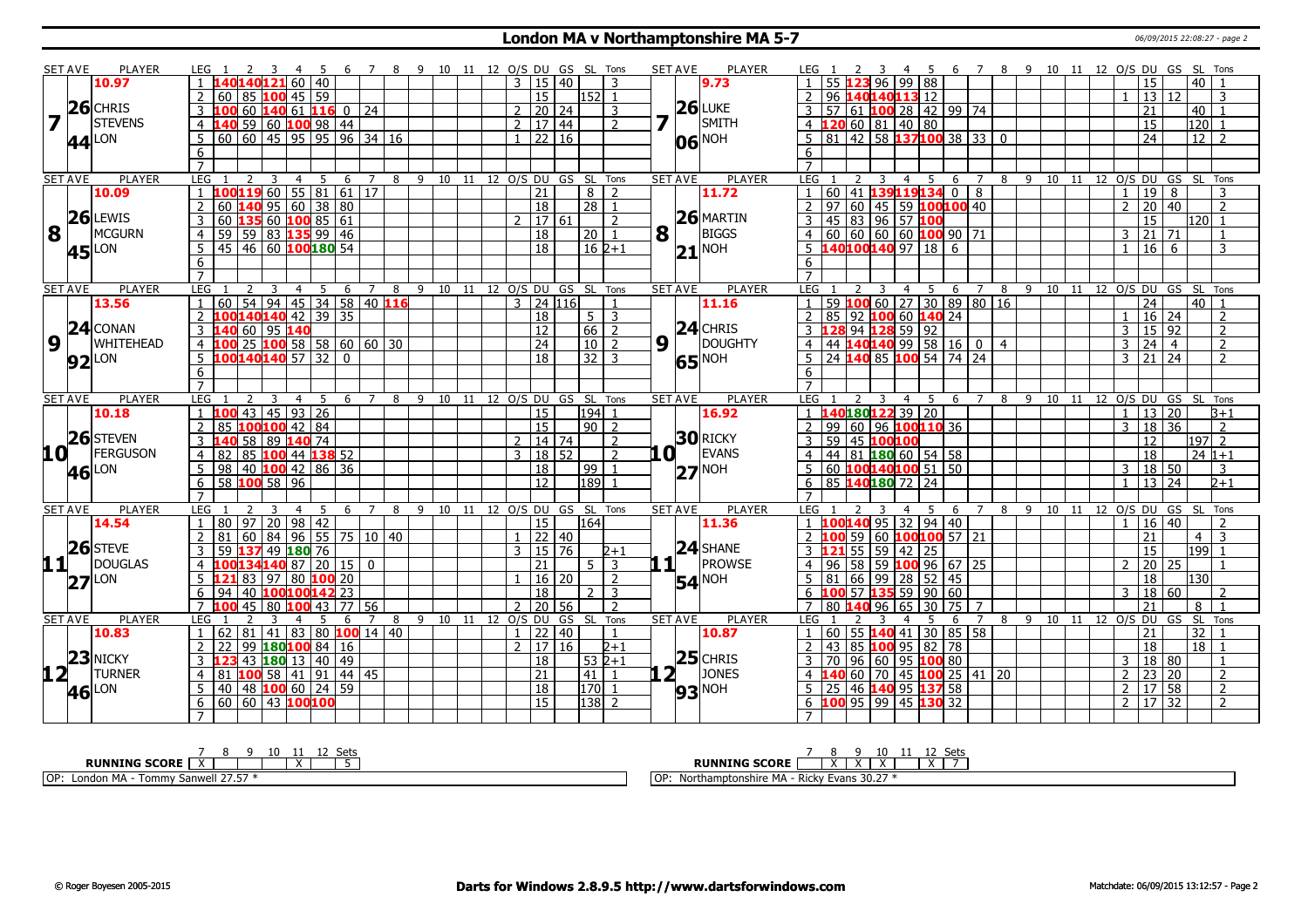### **London MA v Northamptonshire MA 5-7** 06/09/2015 22:08:27 - page 2

|                         | <b>SET AVE</b> | <b>PLAYER</b>            | LEG 1                                                 | 3 4 5 6 7 8 9 10 11 12 O/S DU GS SL Tons |          |             |   |                                    |  |               |                     |            |                 |                         |                | <b>SET AVE</b> | <b>PLAYER</b>         | LEG 1          |    |    | 3                                                        |       |                     |                                                            |                |      |    | 4 5 6 7 8 9 10 11 12 O/S DU GS SL Tons |                |                     |                      |                  |                |
|-------------------------|----------------|--------------------------|-------------------------------------------------------|------------------------------------------|----------|-------------|---|------------------------------------|--|---------------|---------------------|------------|-----------------|-------------------------|----------------|----------------|-----------------------|----------------|----|----|----------------------------------------------------------|-------|---------------------|------------------------------------------------------------|----------------|------|----|----------------------------------------|----------------|---------------------|----------------------|------------------|----------------|
|                         |                | 10.97                    | 1 140140121 60 40                                     |                                          |          |             |   |                                    |  |               | $3 \mid 15 \mid 40$ |            |                 | २                       |                |                | 9.73                  |                |    |    | 96                                                       | 99 88 |                     |                                                            |                |      |    |                                        |                | 15                  |                      | $40$   1         |                |
|                         |                |                          | 2   60   85   100   45   59                           |                                          |          |             |   |                                    |  |               | 15                  |            | 152 1           |                         |                |                |                       | 2              | 96 |    | 140140113 12                                             |       |                     |                                                            |                |      |    |                                        |                | 13 12               |                      |                  | 3              |
|                         |                | $ 26 $ CHRIS             | $10060$ $14061$ $1160$                                |                                          |          |             |   |                                    |  |               | 20 24               |            |                 | 3                       |                |                | $26$ LUKE             |                | 57 |    | $\vert 61 \vert 100 \vert 28 \vert 42 \vert 99 \vert 74$ |       |                     |                                                            |                |      |    |                                        |                | 21                  |                      | 40               |                |
| $\overline{\mathbf{z}}$ |                | <b>STEVENS</b>           | 4 140 59 60 100 98 44                                 |                                          |          |             |   |                                    |  |               | 2   17   44         |            |                 | $\mathcal{P}$           |                |                | SMITH                 | 4              |    |    | 120 60 81 40 80                                          |       |                     |                                                            |                |      |    |                                        |                | $\overline{15}$     |                      | 120              |                |
|                         |                | $ 44 $ LON               |                                                       | 60 60 45 95 95 96 34 16                  |          |             |   |                                    |  |               | 22 16               |            |                 |                         |                |                | 06 NOH                | 5              | 81 |    |                                                          |       |                     | $\boxed{42}$ 58 <b>137100</b> 38 33 0                      |                |      |    |                                        |                | $\overline{24}$     |                      | $12$   2         |                |
|                         |                |                          | 6                                                     |                                          |          |             |   |                                    |  |               |                     |            |                 |                         |                |                |                       | 6              |    |    |                                                          |       |                     |                                                            |                |      |    |                                        |                |                     |                      |                  |                |
|                         |                |                          | $\overline{7}$                                        |                                          |          |             |   |                                    |  |               |                     |            |                 |                         |                |                |                       |                |    |    |                                                          |       |                     |                                                            |                |      |    |                                        |                |                     |                      |                  |                |
|                         | <b>SET AVE</b> | <b>PLAYER</b>            | <b>LEG</b><br>2                                       | 3<br>$\overline{4}$                      | - 5<br>6 | $7^{\circ}$ |   | 8 9 10 11 12 0/S DU GS SL Tons     |  |               |                     |            |                 |                         |                | <b>SET AVE</b> | <b>PLAYER</b>         | LEG 1          |    |    | 3<br>$\overline{4}$                                      | 5     | 6                   | $\overline{7}$                                             | 8              | 9 10 | 11 |                                        |                |                     | 12 O/S DU GS SL Tons |                  |                |
|                         |                | 10.09                    | $\overline{1}$                                        | $10011960$ 55 81 61 17                   |          |             |   |                                    |  |               | $\overline{21}$     |            | 8 <sup>1</sup>  | <sup>2</sup>            |                |                | 11.72                 |                | 60 |    | 41 139119134 0                                           |       |                     | 8                                                          |                |      |    |                                        |                | $19$ 8              |                      |                  | 3              |
|                         |                |                          | $\overline{2}$                                        | 60 140 95 60 38 80                       |          |             |   |                                    |  |               | $\overline{18}$     |            | 28 1            |                         |                |                |                       | $\overline{2}$ | 97 |    | $ 60 $ 45   59 <b>100100</b> 40                          |       |                     |                                                            |                |      |    |                                        | $\mathcal{P}$  | 20   40             |                      |                  | $\overline{2}$ |
|                         |                | $26$ LEWIS               | 3                                                     | 60 135 60 100 85 61                      |          |             |   |                                    |  | $\mathcal{L}$ | 17 61               |            |                 | $\mathcal{L}$           |                |                | $26$ MARTIN           | 3              | 45 |    | 83 96 57 100                                             |       |                     |                                                            |                |      |    |                                        |                | 15                  |                      | 120 <sup>1</sup> | $\mathbf{1}$   |
| 8                       |                | MCGURN                   | $\overline{4}$                                        | 59   59   83 135 99   46                 |          |             |   |                                    |  |               | 18                  |            | 20 <sup>1</sup> | $\overline{1}$          | 8              |                | <b>BIGGS</b>          | $\overline{4}$ |    |    | $60   60   60   60$ 100 90 71                            |       |                     |                                                            |                |      |    |                                        |                | 3   21   71         |                      |                  | $\mathbf{1}$   |
|                         |                | $45$ <sup>LON</sup>      | .5.                                                   | 45   46   60   <mark>100</mark> 180   54 |          |             |   |                                    |  |               | 18                  |            | $16 \, 2+1$     |                         |                |                | $21$ <sup>NOH</sup>   | 5              |    |    | 140100140 97 18 6                                        |       |                     |                                                            |                |      |    |                                        |                | $1 \mid 16 \mid 6$  |                      |                  | 3              |
|                         |                |                          | 6                                                     |                                          |          |             |   |                                    |  |               |                     |            |                 |                         |                |                |                       | 6              |    |    |                                                          |       |                     |                                                            |                |      |    |                                        |                |                     |                      |                  |                |
|                         |                |                          | $\overline{7}$                                        |                                          |          |             |   |                                    |  |               |                     |            |                 |                         |                |                |                       | $\overline{7}$ |    |    |                                                          |       |                     |                                                            |                |      |    |                                        |                |                     |                      |                  |                |
|                         | <b>SET AVE</b> | <b>PLAYER</b>            | LEG                                                   | 4                                        | -5<br>6  |             | 8 | 9 10 11 12 O/S DU GS SL Tons       |  |               |                     |            |                 |                         |                | <b>SET AVE</b> | <b>PLAYER</b>         | LEG            |    |    | $\overline{4}$                                           | 5     | 6                   |                                                            | 8              |      |    | 9 10 11 12 O/S DU GS SL Tons           |                |                     |                      |                  |                |
|                         |                | 13.56                    | $\overline{1}$                                        | 60 54 94 45 34 58 40 116                 |          |             |   |                                    |  |               | $3$ 24 116          |            |                 |                         |                |                | 11.16                 | $\mathbf{1}$   | 59 |    |                                                          |       |                     | $100$ 60 $\mid$ 27 $\mid$ 30 $\mid$ 89 $\mid$ 80 $\mid$ 16 |                |      |    |                                        |                | $\overline{24}$     |                      | 40               |                |
|                         |                |                          | 2 100140140 42 39 35                                  |                                          |          |             |   |                                    |  |               | 18                  |            | $5\sqrt{3}$     |                         |                |                |                       | $\overline{2}$ | 85 |    | 92 100 60 140 24                                         |       |                     |                                                            |                |      |    |                                        |                | $1 \mid 16 \mid 24$ |                      |                  | 2              |
|                         |                | $24$ CONAN               | 3 140 60 95 140                                       |                                          |          |             |   |                                    |  |               | $\overline{12}$     |            | $66$   2        |                         |                |                | $24$ CHRIS            | 3              |    |    | 94 128 59 92                                             |       |                     |                                                            |                |      |    |                                        |                | 3   15   92         |                      |                  | $\overline{2}$ |
| $\boldsymbol{9}$        |                | <b>WHITEHEAD</b>         | $4 \overline{100}$ 25 $\overline{100}$ 58 58 60 60 30 |                                          |          |             |   |                                    |  |               | $\overline{24}$     |            | 10              | $\overline{2}$          | 9 <sup>1</sup> |                | <b>DOUGHTY</b>        | $\overline{4}$ |    |    | 44 140 140 99 58 16 0                                    |       |                     |                                                            | $\overline{4}$ |      |    |                                        |                | $3 \mid 24 \mid 4$  |                      |                  | $\overline{2}$ |
|                         |                | $92$ <sup>LON</sup>      | 5 100140140                                           | $57 \overline{32}$                       | $\Omega$ |             |   |                                    |  |               | $\overline{18}$     |            | $\overline{32}$ | $\mathbf{3}$            |                | 65             | NOH                   | 5              | 24 |    | 140 85 100 54 74 24                                      |       |                     |                                                            |                |      |    |                                        | $\mathcal{R}$  | $21\overline{)24}$  |                      |                  | $\mathcal{P}$  |
|                         |                |                          | 6                                                     |                                          |          |             |   |                                    |  |               |                     |            |                 |                         |                |                |                       | 6              |    |    |                                                          |       |                     |                                                            |                |      |    |                                        |                |                     |                      |                  |                |
|                         |                |                          | $\overline{7}$                                        |                                          |          |             |   |                                    |  |               |                     |            |                 |                         |                |                |                       | $\overline{7}$ |    |    |                                                          |       |                     |                                                            |                |      |    |                                        |                |                     |                      |                  |                |
|                         | <b>SET AVE</b> | <b>PLAYER</b>            | <b>LEG</b>                                            | 3<br>4                                   | - 5      |             |   | 6 7 8 9 10 11 12 O/S DU GS SL      |  |               |                     |            |                 | Tons                    |                | <b>SET AVE</b> | PLAYER                | LEG            |    |    | 3<br>$\overline{4}$                                      | 5     | 6                   | $\overline{7}$                                             |                |      |    | 8 9 10 11 12 0/S DU GS SL Tons         |                |                     |                      |                  |                |
|                         |                | 10.18                    | $100$ 43 45 93 26<br>$\overline{1}$                   |                                          |          |             |   |                                    |  |               | $\overline{15}$     |            | 194             |                         |                |                | 16.92                 |                |    |    | 14018012239 20                                           |       |                     |                                                            |                |      |    |                                        |                | $1 \mid 13 \mid 20$ |                      |                  | B+1            |
|                         |                |                          | $\overline{2}$                                        | 85 100100 42 84                          |          |             |   |                                    |  |               | 15                  |            | $90$   2        |                         |                |                |                       | $\overline{2}$ |    |    | 99 60 96 100110 36                                       |       |                     |                                                            |                |      |    |                                        |                | $3 \mid 18 \mid 36$ |                      |                  | $\mathcal{L}$  |
|                         |                | $26$ STEVEN              | $3 \; 140$                                            | 58 89 140 74                             |          |             |   |                                    |  |               | 2   14   74         |            |                 | $\mathcal{L}$           |                |                | <b>30 RICKY</b>       | $\overline{3}$ | 59 |    | 145 100 100                                              |       |                     |                                                            |                |      |    |                                        |                | $\overline{12}$     |                      | $ 197 $ 2        |                |
| 10 L                    |                | <b>IFERGUSON</b>         | 4 82 85 100 44 138 52                                 |                                          |          |             |   |                                    |  |               | 3   18   52         |            |                 | $\mathcal{L}$           |                | $\mathbf{a}$   | EVANS                 | $\overline{4}$ |    |    | 44 81 <b>180</b> 60 54 58                                |       |                     |                                                            |                |      |    |                                        |                | $\overline{18}$     |                      | $1241+1$         |                |
|                         |                | <b>46</b> LON            | 5   98   40   100   42   86   36                      |                                          |          |             |   |                                    |  |               | $\overline{18}$     |            | 99              | $\overline{1}$          |                |                | $ 27 $ <sup>NOH</sup> | $\overline{5}$ | 60 |    | 100140100 51 50                                          |       |                     |                                                            |                |      |    |                                        |                | 3   18   50         |                      |                  | 3              |
|                         |                |                          | $6$ 58 100 58 96                                      |                                          |          |             |   |                                    |  |               | 12                  |            | 189             | $\overline{\mathbf{1}}$ |                |                |                       | 6              |    |    | 85 <b>140 180</b> 72 24                                  |       |                     |                                                            |                |      |    |                                        |                | 13   24             |                      |                  | $2+1$          |
|                         |                |                          | $\overline{7}$                                        |                                          |          |             |   |                                    |  |               |                     |            |                 |                         |                |                |                       | $\overline{7}$ |    |    |                                                          |       |                     |                                                            |                |      |    |                                        |                |                     |                      |                  |                |
|                         | <b>SET AVE</b> | <b>PLAYER</b>            | <b>LEG</b>                                            | 3<br>$\overline{4}$                      | 5        |             |   | 6 7 8 9 10 11 12 O/S DU GS SL Tons |  |               |                     |            |                 |                         |                | <b>SET AVE</b> | <b>PLAYER</b>         | LEG 1          |    |    | 3<br>$\overline{4}$                                      | 5     | 6                   |                                                            |                |      |    | 7 8 9 10 11 12 0/S DU GS SL Tons       |                |                     |                      |                  |                |
|                         |                | 14.54                    | $1$ 80 97 20 98 42                                    |                                          |          |             |   |                                    |  |               | $\overline{15}$     |            | 164             |                         |                |                | 11.36                 |                |    |    | 100 140 95 32 94 40                                      |       |                     |                                                            |                |      |    |                                        |                | 16 40               |                      |                  | $\overline{2}$ |
|                         |                | $26$ STEVE               | 2 81 60 84 96 55 75 10 40                             |                                          |          |             |   |                                    |  |               | 22 40               |            |                 |                         |                |                | $24$ SHANE            | $\overline{2}$ |    | 59 | 60 100100 57 21                                          |       |                     |                                                            |                |      |    |                                        |                | $\overline{21}$     |                      | $\overline{4}$   | $\mathbf{3}$   |
|                         |                |                          | $\overline{3}$                                        | 59 137 49 180 76                         |          |             |   |                                    |  | 3             | 15   76             |            |                 | $2 + 1$                 |                |                |                       | $\overline{3}$ |    |    | <b>121</b> 55 59 42 25                                   |       |                     |                                                            |                |      |    |                                        |                | 15                  |                      | 199              |                |
| 11+                     |                | DOUGLAS                  | 4 100134140 87 20 15 0                                |                                          |          |             |   |                                    |  |               | $\overline{21}$     |            | 5 <sup>1</sup>  | $\mathbf{3}$            |                | 1 <sup>1</sup> | PROWSE                | $\overline{4}$ | 96 | 58 | 59 100 96 67 25                                          |       |                     |                                                            |                |      |    |                                        |                | 20 25               |                      |                  |                |
|                         |                | $ 27 $ LON               | $5 \; 121 \; 83 \; 97 \; 80 \; 100 \; 20$             |                                          |          |             |   |                                    |  |               | 16 20               |            |                 | $\overline{2}$          |                |                | $54$ <sup>NOH</sup>   | 5              | 81 |    | $66$ 99 28 52 45                                         |       |                     |                                                            |                |      |    |                                        |                | 18                  |                      | 130              |                |
|                         |                |                          | 6                                                     | 94   40 <b> 100 100 142</b> 23           |          |             |   |                                    |  |               | $\overline{18}$     |            | $\mathcal{P}$   | $\mathbf{3}$            |                |                |                       | 6              |    |    | 57 135 59 90 60                                          |       |                     |                                                            |                |      |    |                                        | 3              | 18 60               |                      |                  | 2              |
|                         |                |                          | $\overline{7}$<br>$100$ 45 80 $100$ 43 77 56          |                                          |          |             |   |                                    |  | $\mathcal{P}$ | $20 \mid 56$        |            |                 | $\overline{2}$          |                |                |                       | $\overline{7}$ | 80 |    | 140 96 65 l                                              |       | $30 \mid 75 \mid 7$ |                                                            |                |      |    |                                        |                | $\overline{21}$     |                      | 8                |                |
|                         | <b>SET AVE</b> | PLAYER                   | <b>LEG</b>                                            | $\overline{4}$                           | 5<br>6   | 7           |   | 8 9 10 11 12 O/S DU                |  |               |                     | GS SL Tons |                 |                         |                | <b>SET AVE</b> | PLAYER                | LEG            |    |    | $\overline{4}$                                           | 5     | 6                   | $\overline{7}$                                             |                |      |    | 8 9 10 11 12 0/S DU                    |                |                     | GS SL                |                  | Tons           |
|                         |                | 10.83                    | $1   62   81   41   83   80$ 100 14 40                |                                          |          |             |   |                                    |  |               | 22   40             |            |                 |                         |                |                | 10.87                 |                |    |    | 60   55 $\sqrt{140}$ 41   30   85   58                   |       |                     |                                                            |                |      |    |                                        |                | $\overline{21}$     |                      | $\overline{32}$  |                |
|                         |                |                          | 2<br>22                                               | 99 180100 84 16                          |          |             |   |                                    |  |               | 17 16               |            |                 | $2 + 1$                 |                |                |                       |                |    |    | 43 85 100 95 82 78                                       |       |                     |                                                            |                |      |    |                                        |                | 18                  |                      | 18               |                |
|                         |                | $23$ NICKY               | 3 <b>123</b> 43 <b>180</b> 13 40 49                   |                                          |          |             |   |                                    |  |               | 18                  |            | $532+1$         |                         |                |                | $25$ CHRIS            | 3              | 70 |    | 96   60   95 <b>100</b> 80                               |       |                     |                                                            |                |      |    |                                        | $\overline{3}$ | 18 80               |                      |                  |                |
| $12$ <sup>T</sup>       |                | <b>TURNER</b>            | 4                                                     | 81   100   58   41   91   44   45        |          |             |   |                                    |  |               | $\overline{21}$     |            | 41              | $\overline{1}$          |                | $2^+$          | JONES                 | $\overline{4}$ |    |    |                                                          |       |                     | 60 70 45 100 25 41 20                                      |                |      |    |                                        | 2 <sup>1</sup> | 23 20               |                      |                  | $\overline{2}$ |
|                         |                | <b>46</b> <sup>LON</sup> | .5.                                                   | 40   48   100 60   24   59               |          |             |   |                                    |  |               | $\overline{18}$     |            | 170 1           |                         |                |                | $93$ <sup>NOH</sup>   | 5 <sup>7</sup> | 25 |    | 146 <b>140</b> 95 <b>137</b> 58                          |       |                     |                                                            |                |      |    |                                        |                | $2 \mid 17 \mid 58$ |                      |                  | $\overline{2}$ |
|                         |                |                          | 6   60   60   43   100   100                          |                                          |          |             |   |                                    |  |               | $\overline{15}$     |            | $ 138 $ 2       |                         |                |                |                       | 6              |    |    | 100 95 99 45 130 32                                      |       |                     |                                                            |                |      |    |                                        |                | 2   17   32         |                      |                  | 2              |
|                         |                |                          | $\overline{7}$                                        |                                          |          |             |   |                                    |  |               |                     |            |                 |                         |                |                |                       |                |    |    |                                                          |       |                     |                                                            |                |      |    |                                        |                |                     |                      |                  |                |
|                         |                |                          |                                                       |                                          |          |             |   |                                    |  |               |                     |            |                 |                         |                |                |                       |                |    |    |                                                          |       |                     |                                                            |                |      |    |                                        |                |                     |                      |                  |                |

| しししこ                                                              | - 40<br>ັບປ                                                                                 |
|-------------------------------------------------------------------|---------------------------------------------------------------------------------------------|
| <b>RUNNING SCORE</b><br>. .                                       | <b>RUNNING SCORE</b><br>$\ddot{\phantom{1}}$<br>$\ddot{\phantom{1}}$<br>$\mathbf{v}$        |
| <b>II 27 57</b><br>IOP:<br>London MA<br>Sanwell 27.5,<br>l ommv : | OP:<br>$\sim$ $\sim$ $\sim$<br>- Ricky <sup>r</sup><br>Northamptonshire MA -<br>Evans 30.27 |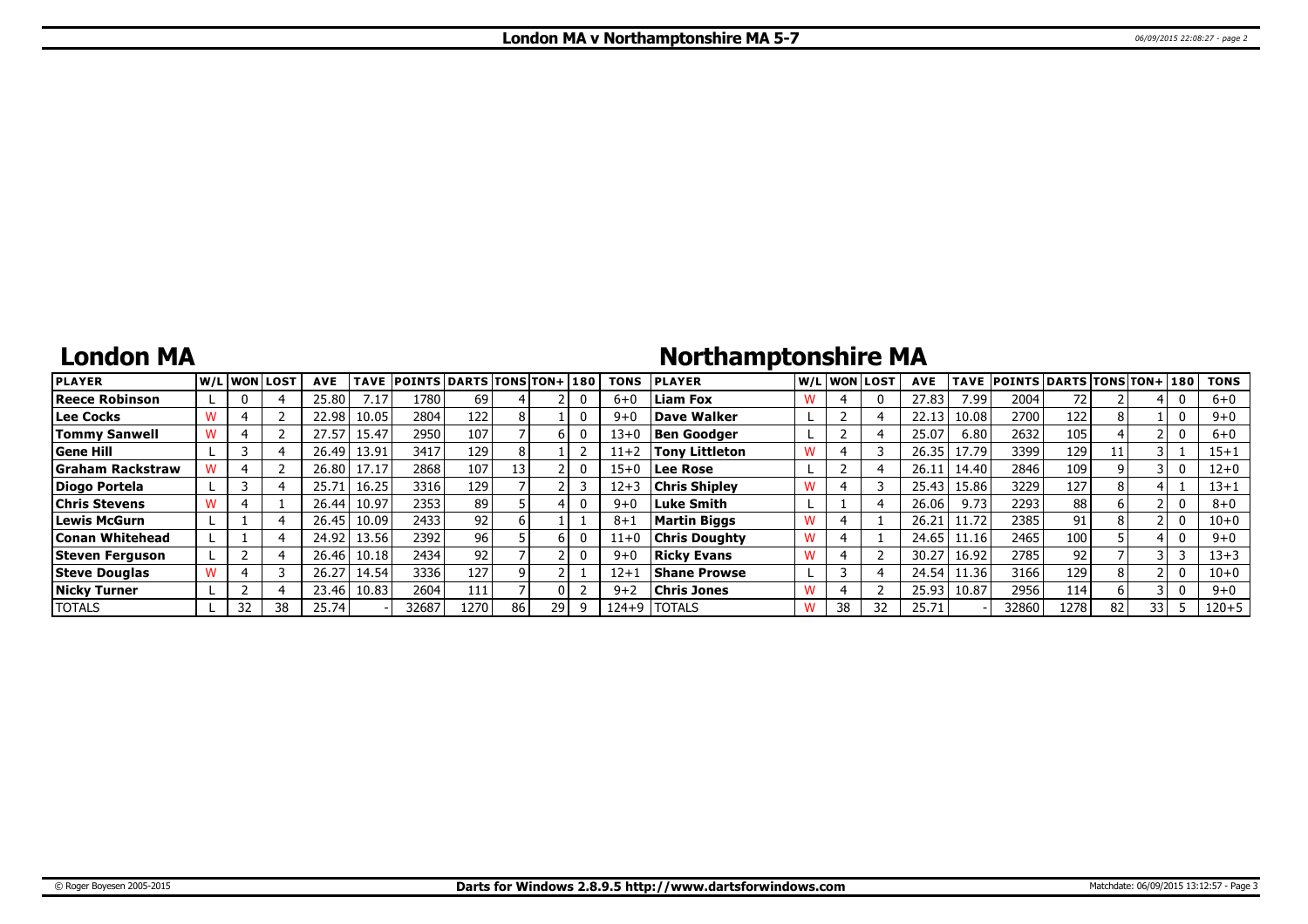## **London MA**

# **Northamptonshire MA**

| <b>PLAYER</b>           |    | lw/Llwonllost | <b>AVE</b> |       | TAVE POINTS DARTS TONS TON+1180 |                 |      |    |   | <b>TONS</b> | <b>IPLAYER</b>       |    | W/L WON LOST | <b>AVE</b> | <b>TAVE</b> | <b>POINTS DARTS TONS TON+180</b> |                  |    |      | <b>TONS</b> |
|-------------------------|----|---------------|------------|-------|---------------------------------|-----------------|------|----|---|-------------|----------------------|----|--------------|------------|-------------|----------------------------------|------------------|----|------|-------------|
| Reece Robinson          |    |               | 25.80      | 7.17  | 1780                            | 69              |      |    |   | $6 + 0$     | <b>Liam Fox</b>      |    |              | 27.83      | 7.99        | 2004                             | 72               |    |      | $6 + 0$     |
| Lee Cocks               |    |               | 22.98      | 10.05 | 2804                            | 122             |      |    |   | $9 + 0$     | Dave Walker          |    |              | 22.13      | 10.08       | 2700                             | 122              |    |      | $9 + 0$     |
| <b>Tommy Sanwell</b>    |    |               | 27.57      | 15.47 | 2950                            | 107             |      |    |   | $13 + 0$    | <b>Ben Goodger</b>   |    |              | 25.07      | 6.80        | 2632                             | 105              |    |      | $6+0$       |
| Gene Hill               |    |               | 26.49      | 13.91 | 3417                            | 129             |      |    |   | $11+2$      | Tony Littleton       |    |              | 26.35      | 17.79       | 3399                             | 129              |    |      | $15 + 1$    |
| <b>Graham Rackstraw</b> |    |               | 26.80      | 17.17 | 2868                            | 107             | 131  |    |   | $15 + 0$    | Lee Rose             |    |              | 26.11      | 14.40       | 2846                             | 109              |    |      | $12 + 0$    |
| Diogo Portela           |    |               | 25.71      | 16.25 | 3316                            | 129             |      |    |   | $12 + 3$    | <b>Chris Shipley</b> |    |              | 25.43      | 15.86       | 3229                             | 127              |    |      | $13 + 1$    |
| <b>Chris Stevens</b>    |    |               | 26.44      | 10.97 | 2353                            | 89              |      |    |   | $9 + 0$     | Luke Smith           |    |              | 26.06      | 9.73        | 2293                             | 88               |    |      | $8 + 0$     |
| Lewis McGurn            |    |               | 26.45      | 10.09 | 2433                            | 92              |      |    |   | $8 + 1$     | Martin Biggs         |    |              | 26.21      | 11.72       | 2385                             | 91               |    |      | $10 + 0$    |
| <b>Conan Whitehead</b>  |    |               | 24.92      | 13.56 | 2392                            | 96 <sub>1</sub> |      |    |   | $11+0$      | <b>Chris Doughty</b> |    |              | 24.65      | 11.16       | 2465                             | 100 <sub>1</sub> |    |      | $9 + 0$     |
| Steven Ferguson         |    |               | 26.46      | 10.18 | 2434                            | 92              |      |    |   | $9 + 0$     | Rickv Evans          |    |              | 30.27      | 16.92       | 2785                             | 92               |    |      | $13 + 3$    |
| <b>Steve Douglas</b>    |    |               | 26.27      | 14.54 | 3336                            | 127             |      |    |   | $12 + 1$    | <b>Shane Prowse</b>  |    |              | 24.54      | 11.36       | 3166                             | 129              |    |      | $10 + 0$    |
| Nicky Turner            |    |               | 23.46      | 10.83 | 2604                            | 111             |      |    |   | $9+2$       | Chris Jones          |    |              | 25.93      | 10.87       | 2956                             | 114              |    |      | $9 + 0$     |
| <b>TOTALS</b>           | 32 | 38            | 25.74      |       | 32687                           | 1270            | 86 I | 29 | q | 124+9       | <b>TOTALS</b>        | 38 | 32           | 25.71      |             | 32860                            | 1278             | 82 | 33 I | $120 + 5$   |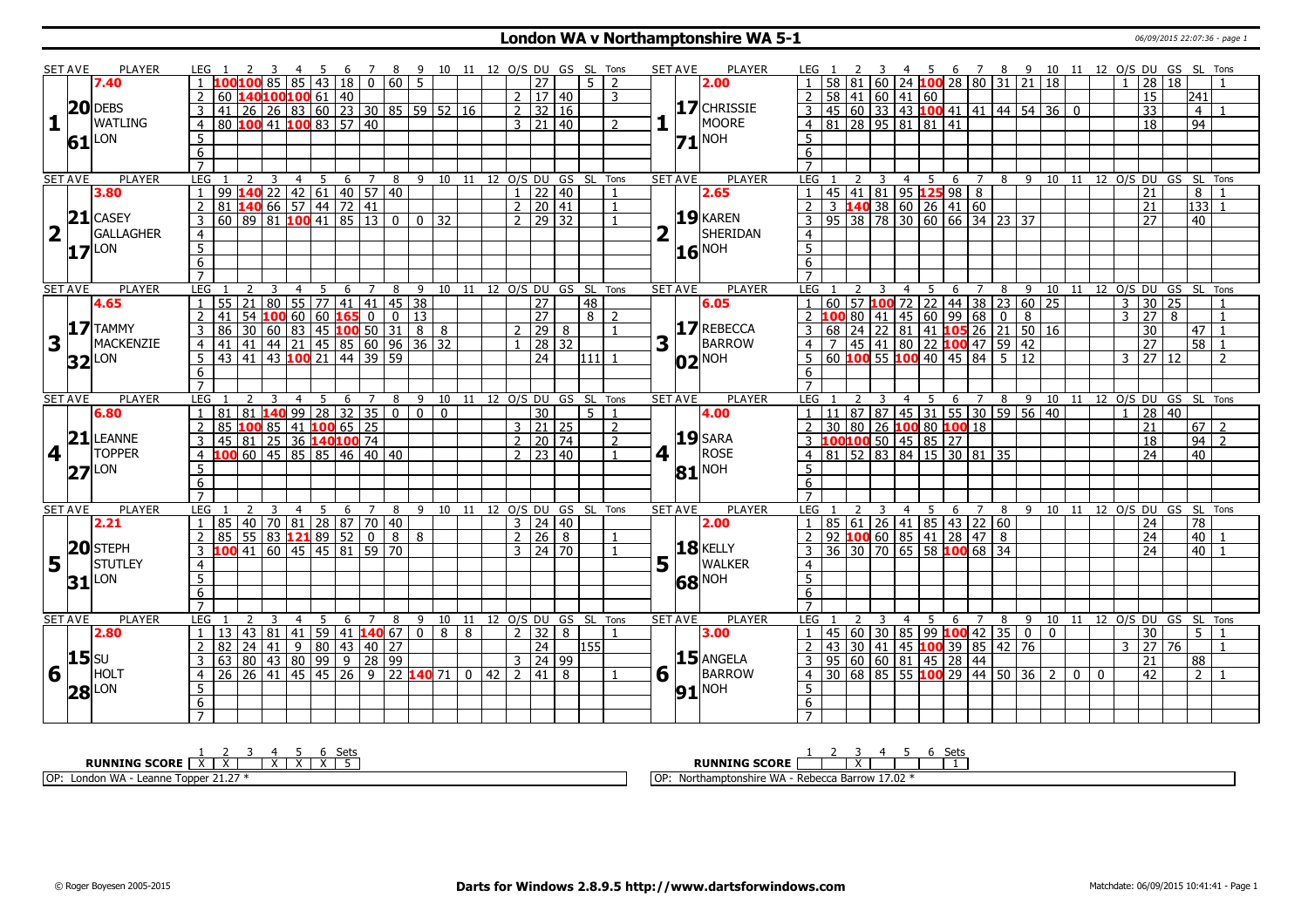### **London WA v Northamptonshire WA 5-1** 06/09/2015 22:07:36 - page 1

|                         | SET AVE        | <b>PLAYER</b>       | LEG 1           |                                                                                           |               |                         |                |                     |   |                         |   |                           |  |               |                           |            | 3 4 5 6 7 8 9 10 11 12 O/S DU GS SL Tons |             | <b>SET AVE</b> | PLAYER                | LEG 1            |             |                 |                         |                |                                                                                                          |                |             |                |   |                |                |                |                                     | 2 3 4 5 6 7 8 9 10 11 12 O/S DU GS SL Tons |                 |                |
|-------------------------|----------------|---------------------|-----------------|-------------------------------------------------------------------------------------------|---------------|-------------------------|----------------|---------------------|---|-------------------------|---|---------------------------|--|---------------|---------------------------|------------|------------------------------------------|-------------|----------------|-----------------------|------------------|-------------|-----------------|-------------------------|----------------|----------------------------------------------------------------------------------------------------------|----------------|-------------|----------------|---|----------------|----------------|----------------|-------------------------------------|--------------------------------------------|-----------------|----------------|
|                         |                | 7.40                |                 | 1 <b>100100</b> 85 85 43 18 0 60                                                          |               |                         |                |                     |   |                         |   | $5^{\circ}$               |  |               | 27                        | $5-1$      | $\overline{2}$                           |             |                | 2.00                  |                  |             |                 |                         |                | 60   24   <mark>100</mark>   28   80   31   21   18                                                      |                |             |                |   |                |                |                | $1 \ 28 \ 18$                       |                                            |                 |                |
|                         |                |                     |                 | 60 140100100 61 40                                                                        |               |                         |                |                     |   |                         |   |                           |  |               | 2   17   40               |            | 3                                        |             |                |                       | $\overline{2}$   | 58          |                 | 41   60   41   60       |                |                                                                                                          |                |             |                |   |                |                |                | 15                                  |                                            | 241             |                |
|                         |                | $20$ DEBS           |                 | 41 26 26 83 60 23 30 85 59 52 16                                                          |               |                         |                |                     |   |                         |   |                           |  |               | $2 \mid 32 \mid 16$       |            |                                          |             |                | 17 CHRISSIE           | 3                |             |                 |                         |                | 45 60 33 43 100 41 41 44 54 36 0                                                                         |                |             |                |   |                |                |                | $\overline{33}$                     |                                            | $\overline{4}$  |                |
| 1                       |                | <b>WATLING</b>      | $\overline{4}$  | 80   100   41   100   83   57   40                                                        |               |                         |                |                     |   |                         |   |                           |  |               | $3 \mid 21 \mid 40$       |            | $\overline{2}$                           |             |                | MOORE                 | 4 <sup>1</sup>   |             |                 |                         |                | 81   28   95   81   81   41                                                                              |                |             |                |   |                |                |                | 18                                  |                                            | 94              |                |
|                         |                | LON                 | 5               |                                                                                           |               |                         |                |                     |   |                         |   |                           |  |               |                           |            |                                          |             |                | $71^{\text{NOH}}$     | 5                |             |                 |                         |                |                                                                                                          |                |             |                |   |                |                |                |                                     |                                            |                 |                |
|                         | 61             |                     | 6               |                                                                                           |               |                         |                |                     |   |                         |   |                           |  |               |                           |            |                                          |             |                |                       | 6                |             |                 |                         |                |                                                                                                          |                |             |                |   |                |                |                |                                     |                                            |                 |                |
|                         |                |                     | $\overline{7}$  |                                                                                           |               |                         |                |                     |   |                         |   |                           |  |               |                           |            |                                          |             |                |                       |                  |             |                 |                         |                |                                                                                                          |                |             |                |   |                |                |                |                                     |                                            |                 |                |
|                         | <b>SET AVE</b> | PLAYER              | LEG             |                                                                                           |               |                         | $\overline{4}$ | - 5                 | 6 | 7                       |   |                           |  |               |                           |            | 8 9 10 11 12 O/S DU GS SL Tons           |             | <b>SET AVE</b> | PLAYER                | LEG              |             | $\overline{2}$  | 3                       | $\overline{4}$ | 5                                                                                                        | 6 7            |             |                |   |                |                |                |                                     | 8 9 10 11 12 O/S DU GS SL Tons             |                 |                |
|                         |                | 3.80                | $\overline{1}$  |                                                                                           |               |                         |                |                     |   | $140$ 22 42 61 40 57 40 |   |                           |  |               | $1$   22   40             |            | $\mathbf{1}$                             |             |                | 2.65                  |                  |             |                 |                         |                | 45 41 81 95 125 98 8                                                                                     |                |             |                |   |                |                |                | $\overline{21}$                     |                                            | 8               |                |
|                         |                |                     | 2               | 81                                                                                        |               |                         |                | $14066$ 57 44 72 41 |   |                         |   |                           |  |               | 2   20   41               |            | $\overline{1}$                           |             |                |                       | $\overline{2}$   | 3           |                 |                         |                | $140$ 38 60 26 41 60                                                                                     |                |             |                |   |                |                |                | 21                                  |                                            | 133             |                |
|                         |                | $21$ CASEY          | $\overline{3}$  | 60 89 81 <b>100</b> 41 85 13 0 0 32                                                       |               |                         |                |                     |   |                         |   |                           |  |               | $2 \mid 29 \mid 32$       |            |                                          |             |                | $19$ <b>KAREN</b>     | $\overline{3}$   |             |                 |                         |                | $95 \mid 38 \mid 78 \mid 30 \mid 60 \mid 66 \mid 34 \mid 23 \mid 37$                                     |                |             |                |   |                |                |                | 27                                  |                                            | 40              |                |
| $\overline{\mathbf{2}}$ |                | GALLAGHER           | $\overline{4}$  |                                                                                           |               |                         |                |                     |   |                         |   |                           |  |               |                           |            |                                          | $\mathbf 2$ |                | SHERIDAN              | $\overline{4}$   |             |                 |                         |                |                                                                                                          |                |             |                |   |                |                |                |                                     |                                            |                 |                |
|                         |                | LON                 | 5 <sup>5</sup>  |                                                                                           |               |                         |                |                     |   |                         |   |                           |  |               |                           |            |                                          |             |                | $16$ <sup>NOH</sup>   | $\overline{5}$   |             |                 |                         |                |                                                                                                          |                |             |                |   |                |                |                |                                     |                                            |                 |                |
|                         | 17             |                     | $6\overline{6}$ |                                                                                           |               |                         |                |                     |   |                         |   |                           |  |               |                           |            |                                          |             |                |                       | 6                |             |                 |                         |                |                                                                                                          |                |             |                |   |                |                |                |                                     |                                            |                 |                |
|                         |                |                     | $\overline{7}$  |                                                                                           |               |                         |                |                     |   |                         |   |                           |  |               |                           |            |                                          |             |                |                       | $\overline{7}$   |             |                 |                         |                |                                                                                                          |                |             |                |   |                |                |                |                                     |                                            |                 |                |
|                         | <b>SET AVE</b> | <b>PLAYER</b>       | <b>LEG</b>      |                                                                                           | $\mathcal{P}$ | 3                       | $\overline{4}$ | $5\overline{)}$     |   | 6 7                     |   | 8 9 10 11 12 0/S DU GS SL |  |               |                           |            | Tons                                     |             | SET AVE        | <b>PLAYER</b>         | <b>LEG</b>       |             |                 | 3                       | $\overline{4}$ | $5\overline{)}$                                                                                          | 6 <sup>7</sup> |             | 8              |   |                |                |                |                                     | 9 10 11 12 O/S DU GS SL Tons               |                 |                |
|                         |                | 4.65                | $\overline{1}$  | 55 21 80 55 77 41 41 45 38                                                                |               |                         |                |                     |   |                         |   |                           |  |               | $\overline{27}$           | 48         |                                          |             |                | 6.05                  |                  | 60          |                 |                         |                | 57 <mark>100</mark> 72   22   44   38   23   60   25                                                     |                |             |                |   |                |                |                | $3 \vert 30 \vert 25$               |                                            |                 |                |
|                         |                |                     |                 | 2  41                                                                                     |               |                         |                |                     |   | 54 100 60 60 165 00113  |   |                           |  |               | 27                        | $8 \mid 2$ |                                          |             |                |                       | $\overline{2}$   |             | 80              | 41                      |                | 45 60 99 68                                                                                              |                |             | 0 <sup>1</sup> | 8 |                |                |                | $3 \mid 27 \mid 8$                  |                                            |                 | $\mathbf{1}$   |
|                         |                | $17$ TAMMY          | $\overline{3}$  | $86$ 30 60 83 45 100 50 31 8 8                                                            |               |                         |                |                     |   |                         |   |                           |  | $\mathcal{P}$ | $\sqrt{29}$ 8             |            |                                          |             |                | 17 REBECCA            | $\overline{3}$   | 68          | $\overline{24}$ | $\overline{22}$         |                | 81 41 105 26 21 50 16                                                                                    |                |             |                |   |                |                |                | $\overline{30}$                     |                                            | 47 I            | $\mathbf{1}$   |
| 3                       |                | MACKENZIE           |                 | 4 41 41 44 21 45 85 60 96 36 32                                                           |               |                         |                |                     |   |                         |   |                           |  |               | $28$ 32                   |            |                                          | 3           | H.             | BARROW                | $\overline{4}$   | $7^{\circ}$ |                 |                         |                | $\boxed{45}$ $\boxed{41}$ $\boxed{80}$ $\boxed{22}$ $\boxed{100}$ $\boxed{47}$ $\boxed{59}$ $\boxed{42}$ |                |             |                |   |                |                |                | 27                                  |                                            | $58$ 1          |                |
|                         |                |                     |                 | $5 \mid 43 \mid 41 \mid 43$ 100 21 44 39 59                                               |               |                         |                |                     |   |                         |   |                           |  |               | $\overline{24}$           | l111   1   |                                          |             |                |                       | $\overline{5}$   | 60          | 100             |                         |                | 55 <b>100</b> 40 45 84 5 12                                                                              |                |             |                |   |                |                |                | $3 \overline{)27}$ $\overline{)12}$ |                                            |                 | $\overline{2}$ |
|                         |                | $32$ $\mu$ on       | 6               |                                                                                           |               |                         |                |                     |   |                         |   |                           |  |               |                           |            |                                          |             |                | $ 02 $ <sup>NOH</sup> | 6                |             |                 |                         |                |                                                                                                          |                |             |                |   |                |                |                |                                     |                                            |                 |                |
|                         |                |                     | $\overline{7}$  |                                                                                           |               |                         |                |                     |   |                         |   |                           |  |               |                           |            |                                          |             |                |                       |                  |             |                 |                         |                |                                                                                                          |                |             |                |   |                |                |                |                                     |                                            |                 |                |
|                         | <b>SET AVE</b> | <b>PLAYER</b>       | <b>LEG</b>      |                                                                                           |               | $\overline{\mathbf{3}}$ | $\overline{4}$ |                     |   |                         |   |                           |  |               |                           |            | 5 6 7 8 9 10 11 12 O/S DU GS SL Tons     |             | <b>SET AVE</b> | <b>PLAYER</b>         | LEG <sub>1</sub> |             | 2               | $\overline{\mathbf{3}}$ | $\overline{4}$ |                                                                                                          |                |             |                |   |                |                |                |                                     | 5 6 7 8 9 10 11 12 O/S DU GS SL Tons       |                 |                |
|                         |                | 6.80                |                 | 1 81 81 140 99 28 32 35 0 0 0 0                                                           |               |                         |                |                     |   |                         |   |                           |  |               | $\overline{30}$           | $5-1$      | $\overline{1}$                           |             |                | 4.00                  |                  |             |                 |                         |                | 11 87 87 45 31 55 30 59 56 40                                                                            |                |             |                |   |                |                |                | 28 40                               |                                            |                 |                |
|                         |                |                     |                 | 2 85 100 85 41 100 65 25                                                                  |               |                         |                |                     |   |                         |   |                           |  |               | $3 \mid 21 \mid 25$       |            | $\overline{2}$                           |             |                |                       | $\overline{2}$   |             |                 |                         |                | 30 80 26 100 80 100 18                                                                                   |                |             |                |   |                |                |                | $\overline{21}$                     |                                            | 67 2            |                |
|                         |                | $21$ LEANNE         |                 | $3   45   81   25   36   140   100   74$                                                  |               |                         |                |                     |   |                         |   |                           |  |               | 2 20 74                   |            | $\mathcal{P}$                            |             |                | $19$ SARA             | 3                |             |                 |                         |                | 100 <mark>100</mark> 50 45 85 27                                                                         |                |             |                |   |                |                |                | 18                                  |                                            | $94$   2        |                |
| $\vert$                 | П.             | <b>TOPPER</b>       |                 | 4 100 60 45 85 85 46 40 40                                                                |               |                         |                |                     |   |                         |   |                           |  |               | $2 \mid 23 \mid 40$       |            |                                          | 4           | H.             | ROSE                  | $\overline{4}$   |             |                 |                         |                | 81 52 83 84 15 30 81 35                                                                                  |                |             |                |   |                |                |                | $\overline{24}$                     |                                            | $\overline{40}$ |                |
|                         |                |                     | 5               |                                                                                           |               |                         |                |                     |   |                         |   |                           |  |               |                           |            |                                          |             |                |                       | 5                |             |                 |                         |                |                                                                                                          |                |             |                |   |                |                |                |                                     |                                            |                 |                |
|                         |                | $ 27 $ LON          | 6               |                                                                                           |               |                         |                |                     |   |                         |   |                           |  |               |                           |            |                                          |             |                | $81^{\text{NOH}}$     | $6\overline{6}$  |             |                 |                         |                |                                                                                                          |                |             |                |   |                |                |                |                                     |                                            |                 |                |
|                         |                |                     | $\overline{7}$  |                                                                                           |               |                         |                |                     |   |                         |   |                           |  |               |                           |            |                                          |             |                |                       | $\overline{7}$   |             |                 |                         |                |                                                                                                          |                |             |                |   |                |                |                |                                     |                                            |                 |                |
|                         | <b>SET AVE</b> | <b>PLAYER</b>       | LEG             |                                                                                           |               | $\overline{3}$          |                |                     |   |                         |   |                           |  |               |                           |            | 4 5 6 7 8 9 10 11 12 0/S DU GS SL Tons   |             | <b>SET AVE</b> | <b>PLAYER</b>         | LEG 1            |             |                 | $\overline{3}$          | $\overline{4}$ |                                                                                                          |                |             |                |   |                |                |                |                                     | 5 6 7 8 9 10 11 12 O/S DU GS SL Tons       |                 |                |
|                         |                | 2.21                | $\overline{1}$  | 85 40 70 81 28 87 70 40                                                                   |               |                         |                |                     |   |                         |   |                           |  |               | $3 \mid 24 \mid 40$       |            |                                          |             |                | 2.00                  |                  |             |                 |                         |                | 85 61 26 41 85 43 22 60                                                                                  |                |             |                |   |                |                |                | 24                                  |                                            | 78              |                |
|                         |                |                     | 2               | $85$ 55 83 121 89 52 0 8 8                                                                |               |                         |                |                     |   |                         |   |                           |  |               | 2   26   8                |            |                                          |             |                |                       | $\overline{2}$   | 92          |                 |                         |                | 10060854128478                                                                                           |                |             |                |   |                |                |                | $\overline{24}$                     |                                            | 40              |                |
|                         |                | $20$ STEPH          |                 | 3 <b>100</b> 41 60 45 45 81 59 70                                                         |               |                         |                |                     |   |                         |   |                           |  |               | $3 \mid 24 \mid 70$       |            |                                          |             |                | <b>18 KELLY</b>       | $\overline{3}$   |             |                 |                         |                | 36 30 70 65 58 100 68 34                                                                                 |                |             |                |   |                |                |                | $\overline{24}$                     |                                            | $\boxed{40}$    |                |
| 5                       |                | <b>STUTLEY</b>      | $\overline{4}$  |                                                                                           |               |                         |                |                     |   |                         |   |                           |  |               |                           |            |                                          | 5           |                | <b>WALKER</b>         | $\overline{4}$   |             |                 |                         |                |                                                                                                          |                |             |                |   |                |                |                |                                     |                                            |                 |                |
|                         |                |                     | 5               |                                                                                           |               |                         |                |                     |   |                         |   |                           |  |               |                           |            |                                          |             |                |                       | $\overline{5}$   |             |                 |                         |                |                                                                                                          |                |             |                |   |                |                |                |                                     |                                            |                 |                |
|                         |                | $31$ <sup>LON</sup> | 6               |                                                                                           |               |                         |                |                     |   |                         |   |                           |  |               |                           |            |                                          |             |                | 68 NOH                | 6                |             |                 |                         |                |                                                                                                          |                |             |                |   |                |                |                |                                     |                                            |                 |                |
|                         |                |                     | $\overline{7}$  |                                                                                           |               |                         |                |                     |   |                         |   |                           |  |               |                           |            |                                          |             |                |                       |                  |             |                 |                         |                |                                                                                                          |                |             |                |   |                |                |                |                                     |                                            |                 |                |
|                         | <b>SET AVE</b> | <b>PLAYER</b>       | <b>LEG</b>      |                                                                                           |               |                         | $\overline{4}$ | 5                   | 6 | $\overline{7}$          | 8 |                           |  |               |                           |            | 9 10 11 12 0/S DU GS SL Tons             |             | <b>SET AVE</b> | <b>PLAYER</b>         | LEG              |             |                 | 3                       | $\overline{4}$ | $\overline{5}$                                                                                           |                | $7^{\circ}$ |                |   |                |                |                |                                     | 9 10 11 12 0/S DU GS SL Tons               |                 |                |
|                         |                |                     |                 |                                                                                           |               |                         |                |                     |   |                         |   |                           |  |               |                           |            |                                          |             |                |                       |                  |             |                 |                         |                |                                                                                                          | 6              |             | 8              |   |                |                |                |                                     |                                            |                 |                |
|                         |                | 2.80                | $\overline{2}$  | $1 \mid 13 \mid 43 \mid 81 \mid 41 \mid 59 \mid 41$ <b>140</b> 67 0 8 8<br>  82   24   41 |               |                         |                |                     |   |                         |   |                           |  |               | 2 32 8<br>$\overline{24}$ |            | $\overline{1}$                           |             |                | 3.00                  | $\mathbf{1}$     |             |                 |                         |                | $45\,$ 60 30 85 99 100 42 35 0 0                                                                         |                |             |                |   |                |                |                | 30<br>$3 \mid 27 \mid 76$           |                                            | $5-1$           |                |
|                         | $15$ su        |                     |                 |                                                                                           |               |                         |                |                     |   | $9$ 80 43 40 27         |   |                           |  |               |                           | l155 l     |                                          |             |                | $15$ ANGELA           | $\overline{2}$   | 43          |                 |                         |                | 30 41 45 100 39 85 42 76                                                                                 |                |             |                |   |                |                |                |                                     |                                            |                 |                |
|                         |                |                     |                 | 3 63 80 43 80 99 9 28 99                                                                  |               |                         |                |                     |   |                         |   |                           |  |               | $3 \mid 24 \mid 99$       |            |                                          |             |                |                       | $\overline{3}$   |             |                 |                         |                | 95 60 60 81 45 28 44                                                                                     |                |             |                |   |                |                |                | 21                                  |                                            | 88              |                |
| 6                       |                | HOLT                | $\overline{4}$  | 26 26 41 45 45 26 9 22 140 71 0 42                                                        |               |                         |                |                     |   |                         |   |                           |  |               | 2 41 8                    |            |                                          |             | 6 1            | <b>BARROW</b>         | $\overline{4}$   |             |                 |                         |                | $30   68   85   55$ 100 29 44 50 36                                                                      |                |             |                |   | $\overline{2}$ | $\overline{0}$ | $\overline{0}$ | 42                                  |                                            | $\overline{2}$  |                |
|                         |                | $ 28 $ LON          | 5               |                                                                                           |               |                         |                |                     |   |                         |   |                           |  |               |                           |            |                                          |             | 91             | NOH                   | 5                |             |                 |                         |                |                                                                                                          |                |             |                |   |                |                |                |                                     |                                            |                 |                |
|                         |                |                     | 6               |                                                                                           |               |                         |                |                     |   |                         |   |                           |  |               |                           |            |                                          |             |                |                       | 6                |             |                 |                         |                |                                                                                                          |                |             |                |   |                |                |                |                                     |                                            |                 |                |
|                         |                |                     | $\overline{7}$  |                                                                                           |               |                         |                |                     |   |                         |   |                           |  |               |                           |            |                                          |             |                |                       | $\overline{7}$   |             |                 |                         |                |                                                                                                          |                |             |                |   |                |                |                |                                     |                                            |                 |                |
|                         |                |                     |                 |                                                                                           |               |                         |                |                     |   |                         |   |                           |  |               |                           |            |                                          |             |                |                       |                  |             |                 |                         |                |                                                                                                          |                |             |                |   |                |                |                |                                     |                                            |                 |                |

| ומר<br>ーー                                                                         | ັບເພ                                                                                      |
|-----------------------------------------------------------------------------------|-------------------------------------------------------------------------------------------|
| <b>RUNNING SCORE</b>                                                              | <b>RUNNING SCORE</b>                                                                      |
| IOP:<br>ר WA<br>2422<br>™∩nner<br>\ - Leanne<br>Lon<br>чшог.<br>.<br>$\mathbf{u}$ | $- - - -$<br>I OP<br>uptonshire WA<br>~a Barrow<br>- Reherro<br>_Northar<br><b>17.</b> UZ |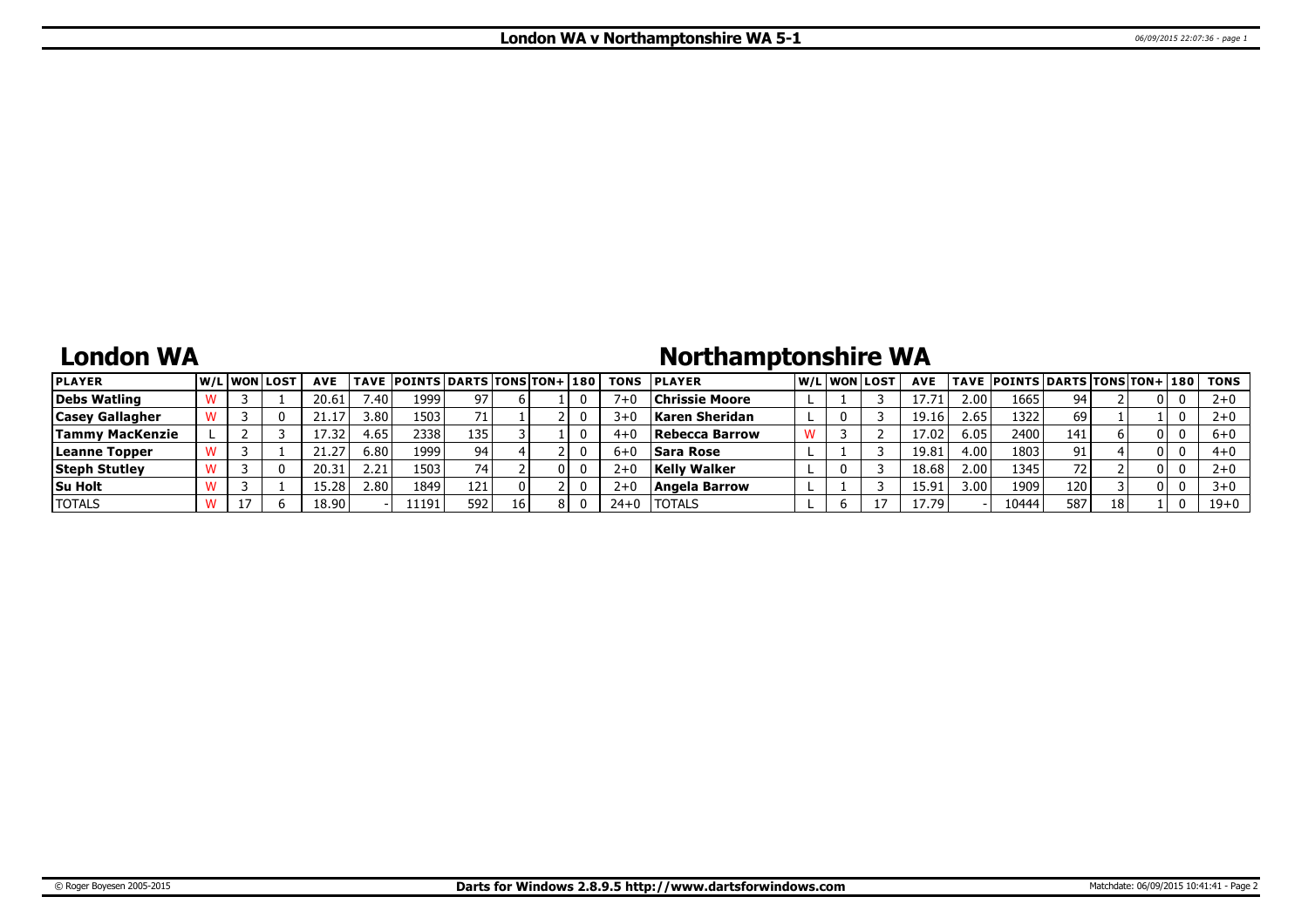# **London WA**

# **Northamptonshire WA**

| <b>PLAYER</b>          | W/Liwonilost | <b>AVE</b> |        | <b>TAVE POINTS DARTS TONS TON+ 180</b> |     |    |    | <b>TONS</b> | <b>IPLAYER</b>        |  | W/Liwonilost | <b>AVE</b> |        | TAVE  POINTS DARTS TONS TON+ 180 |      |    |  | <b>TONS</b> |
|------------------------|--------------|------------|--------|----------------------------------------|-----|----|----|-------------|-----------------------|--|--------------|------------|--------|----------------------------------|------|----|--|-------------|
| Debs Watling           |              | 20.61      | '.40   | 1999                                   | 97  |    |    |             | <b>Chrissie Moore</b> |  |              |            | 2.00   | 1665                             | 94   |    |  |             |
| <b>Casey Gallagher</b> |              |            | 3.80   | 1503                                   |     |    |    | 3+0         | Karen Sheridan        |  |              | 19.16      | 2.651  | 1322                             | -69' |    |  |             |
| <b>Tammy MacKenzie</b> |              | 7.32       | 1.65   | 2338                                   | 135 |    |    | 4+0         | Rebecca Barrow        |  |              | 17.02      | 6.05   | 2400                             | 141  |    |  |             |
| Leanne Topper          |              |            | 6.80   | 1999                                   | 94  |    |    | 6+C         | <b>ISara Rose</b>     |  |              | 19.81      | 4.00   | 1803                             | 91.  |    |  | $4 + 0$     |
| <b>Steph Stutley</b>   |              | 20.31      | 2.21   | 1503                                   |     |    | 01 | $2+0$       | Kelly Walker          |  |              | 18.68      | 2.00 l | 1345                             | 72 I |    |  |             |
| <b>Su Holt</b>         |              | 15.28      | ا 2.80 | 1849                                   | 121 |    |    |             | <b>Angela Barrow</b>  |  |              | 15.91      | 3.00   | 1909                             | 120  |    |  |             |
| <b>TOTALS</b>          |              | 18.90      |        | 11191                                  | 592 | 16 | 81 | $24+0$      | <b>TOTALS</b>         |  |              | . 79.      |        | 10444                            | 587  | 18 |  | $19+0$      |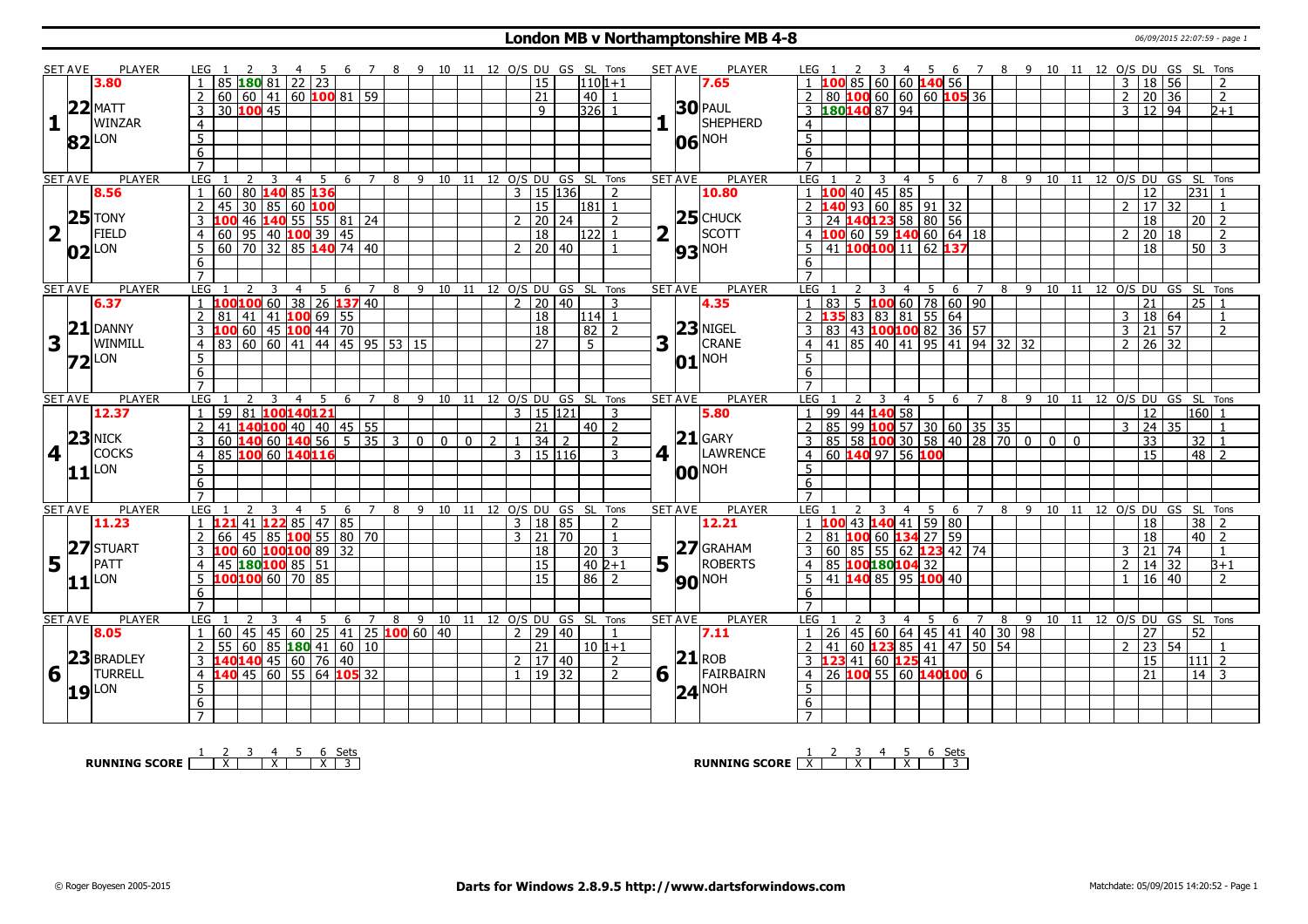#### **London MB v Northamptonshire MB 4-8 12.07:59** - page 1

|                         | <b>SET AVE</b> | <b>PLAYER</b>       | LEG 1                                                                   | 3 4 5 6 7 8 9 10 11 12 O/S DU GS SL Tons |   |   |  |                      |                                         |                         | <b>SET AVE</b> | <b>PLAYER</b>                      | LEG 1<br>$\overline{2}$                             | 3 4 5 6 7 8 9 10 11 12 O/S DU GS SL Tons                      |             |                                    |   |     |                 |    |                  |                                  |     |                                  |
|-------------------------|----------------|---------------------|-------------------------------------------------------------------------|------------------------------------------|---|---|--|----------------------|-----------------------------------------|-------------------------|----------------|------------------------------------|-----------------------------------------------------|---------------------------------------------------------------|-------------|------------------------------------|---|-----|-----------------|----|------------------|----------------------------------|-----|----------------------------------|
|                         |                | 3.80                | 85 180 81 22 23                                                         |                                          |   |   |  | <sup>15</sup>        | $1101+1$                                |                         |                | 7.65                               |                                                     | $1 \quad 100 \quad 85 \quad 60 \quad 60 \quad 140 \quad 56$   |             |                                    |   |     |                 |    |                  | $3 \mid 18 \mid 56$              |     | $\overline{z}$                   |
|                         |                |                     | 60 60 41 60 100 81 59<br>$\overline{2}$                                 |                                          |   |   |  | $\overline{21}$      | 40 <sup>1</sup>                         |                         |                |                                    |                                                     | $80\,100\,60\,60\,60\,105\,36$                                |             |                                    |   |     |                 |    |                  | 2 20 36                          |     | $\overline{2}$                   |
|                         |                | $22$ MATT           | 30 100 45<br>3                                                          |                                          |   |   |  | $\mathsf{q}$         | $3261$                                  |                         |                | <b>30 PAUL</b>                     |                                                     | $3 \overline{180}1408794$                                     |             |                                    |   |     |                 |    |                  | $3 \mid 12 \mid 94$              |     | $2 + 1$                          |
|                         |                | WINZAR              |                                                                         |                                          |   |   |  |                      |                                         |                         |                | SHEPHERD                           |                                                     |                                                               |             |                                    |   |     |                 |    |                  |                                  |     |                                  |
| 1                       |                |                     | $\overline{4}$                                                          |                                          |   |   |  |                      |                                         |                         |                |                                    | $\overline{4}$                                      |                                                               |             |                                    |   |     |                 |    |                  |                                  |     |                                  |
|                         |                | $82$ LON            | 5                                                                       |                                          |   |   |  |                      |                                         |                         |                | 06 NOH                             | $5^{\circ}$                                         |                                                               |             |                                    |   |     |                 |    |                  |                                  |     |                                  |
|                         |                |                     | 6                                                                       |                                          |   |   |  |                      |                                         |                         |                |                                    | 6                                                   |                                                               |             |                                    |   |     |                 |    |                  |                                  |     |                                  |
|                         |                |                     | $\overline{7}$                                                          |                                          |   |   |  |                      |                                         |                         |                |                                    | $\overline{7}$                                      |                                                               |             |                                    |   |     |                 |    |                  |                                  |     |                                  |
|                         | <b>SET AVE</b> | <b>PLAYER</b>       | LEG<br>$\mathcal{P}$<br>$\overline{4}$                                  | 5<br>6 7                                 |   |   |  |                      | 8 9 10 11 12 0/S DU GS SL Tons          |                         | <b>SET AVE</b> | <b>PLAYER</b>                      | LEG 1                                               | $\overline{4}$<br>2<br>$\overline{3}$                         | 5           | 6 7 8 9 10 11 12 0/S DU GS SL Tons |   |     |                 |    |                  |                                  |     |                                  |
|                         |                | 8.56                | 60 80 140 85 136<br>$\mathbf{1}$                                        |                                          |   |   |  | $3 \mid 15 \mid 136$ | 2                                       |                         |                | 10.80                              | $1 \overline{100}$ 40   45   85                     |                                                               |             |                                    |   |     |                 |    |                  | $\overline{12}$                  | 231 |                                  |
|                         |                |                     | $\overline{2}$<br>45 30 85 60 100                                       |                                          |   |   |  | 15                   | $\begin{vmatrix} 181 & 1 \end{vmatrix}$ |                         |                |                                    | $\overline{2}$ 140 93 60 85 91 32                   |                                                               |             |                                    |   |     |                 |    |                  | $2$ 17 32                        |     | $\overline{1}$                   |
|                         |                | $25$ TONY           | $\overline{3}$<br>46                                                    | $140$ 55 55 81 24                        |   |   |  | 20 24                | 2                                       |                         |                | $25$ CHUCK                         | 3<br>24                                             | 140123 58 80 56                                               |             |                                    |   |     |                 |    |                  | $\overline{18}$                  |     | $20$   2                         |
| $\overline{\mathbf{2}}$ | H.             | FIELD               | 60   95   40 <b>100</b> 39   45<br>$\overline{4}$                       |                                          |   |   |  | $\overline{18}$      | 122<br>$\mathbf{1}$                     | $\overline{\mathbf{2}}$ | H.             | SCOTT                              |                                                     | 4 $100$ 60   59 $140$ 60   64   18                            |             |                                    |   |     |                 |    |                  | $2 \mid 20 \mid 18$              |     | $\overline{2}$                   |
|                         |                |                     | 5<br>60 70 32 85 140 74 40                                              |                                          |   |   |  | 20   40              |                                         |                         |                |                                    | 5                                                   | 41 100 100 11                                                 | 62 137      |                                    |   |     |                 |    |                  | 18                               |     | $50\overline{3}$                 |
|                         |                | $ 02 ^{LON}$        | 6                                                                       |                                          |   |   |  |                      |                                         |                         |                | <b>93</b> <sup>NOH</sup>           | 6                                                   |                                                               |             |                                    |   |     |                 |    |                  |                                  |     |                                  |
|                         |                |                     | $\overline{7}$                                                          |                                          |   |   |  |                      |                                         |                         |                |                                    |                                                     |                                                               |             |                                    |   |     |                 |    |                  |                                  |     |                                  |
|                         |                |                     |                                                                         |                                          |   |   |  |                      |                                         |                         |                |                                    |                                                     |                                                               |             |                                    |   |     |                 |    |                  |                                  |     |                                  |
|                         | <b>SET AVE</b> | <b>PLAYER</b>       | LEG<br>3<br>$\overline{4}$                                              | 5<br>6<br>$7\overline{ }$                | 8 |   |  |                      | 9 10 11 12 O/S DU GS SL Tons            |                         | <b>SET AVE</b> | PLAYER                             | LEG                                                 | 3<br>$\overline{4}$                                           | 5           | 6<br>7                             | 8 | 9   | 10              | 11 |                  |                                  | 25  | 12 O/S DU GS SL Tons             |
|                         |                | 6.37                | 00100 60                                                                | 38 26 137 40                             |   |   |  | 2   20   40          | 3                                       |                         |                | 4.35                               | 1 83 5 100 60 78 60 90<br>2 135 83 83 81 55 64      |                                                               |             |                                    |   |     |                 |    |                  | 21                               |     |                                  |
|                         |                | $21$ DANNY          | $141$ 41 100 69 55<br>$\overline{2}$<br>81                              |                                          |   |   |  | 18                   | 114 <br>$\mathbf{1}$                    |                         |                | $23$ NIGEL                         |                                                     |                                                               |             |                                    |   |     |                 |    |                  | 3   18   64                      |     | $\overline{1}$                   |
|                         |                |                     | 60   45   100 44   70<br>3                                              |                                          |   |   |  | 18                   | 82<br>2                                 |                         |                |                                    | 3                                                   | 83   43   100 100 82   36   57                                |             |                                    |   |     |                 |    |                  | 3 21 57                          |     | 2                                |
| $\mathbf{3}$            |                | WINMILL             | 60 60 41 44 45 95 53 15<br>83<br>$\overline{4}$                         |                                          |   |   |  | $\overline{27}$      | 5 <sup>5</sup>                          | 3                       | $\mathbf{L}$   | CRANE                              | $\overline{4}$                                      | 41   85   40   41   95   41   94   32   32                    |             |                                    |   |     |                 |    |                  | $2 \mid 26 \mid 32$              |     |                                  |
|                         |                | $Z2$ LON            | $\overline{5}$                                                          |                                          |   |   |  |                      |                                         |                         |                | $ 01 $ <sub>NOH</sub>              | 5                                                   |                                                               |             |                                    |   |     |                 |    |                  |                                  |     |                                  |
|                         |                |                     | $\overline{6}$                                                          |                                          |   |   |  |                      |                                         |                         |                |                                    | 6                                                   |                                                               |             |                                    |   |     |                 |    |                  |                                  |     |                                  |
|                         |                |                     | $\overline{7}$                                                          |                                          |   |   |  |                      |                                         |                         |                |                                    |                                                     |                                                               |             |                                    |   |     |                 |    |                  |                                  |     |                                  |
|                         | <b>SET AVE</b> | <b>PLAYER</b>       | LEG 1<br>3<br>$\overline{4}$                                            | -5<br>6 7                                |   |   |  |                      | 8 9 10 11 12 O/S DU GS SL Tons          |                         | <b>SET AVE</b> | <b>PLAYER</b>                      | LEG <sub>1</sub>                                    | 2<br>$\mathbf{3}$                                             | $4 \quad 5$ | $\overline{7}$<br>6                | 8 | - 9 |                 |    |                  |                                  |     | 10 11 12 O/S DU GS SL Tons       |
|                         |                | 12.37               |                                                                         |                                          |   |   |  |                      |                                         |                         |                |                                    |                                                     |                                                               |             |                                    |   |     |                 |    |                  |                                  |     | 160                              |
|                         |                |                     | 59 81 100140121                                                         |                                          |   |   |  | $3 \mid 15 \mid 121$ | 3                                       |                         |                | 5.80                               |                                                     | 99 44 140 58                                                  |             |                                    |   |     |                 |    |                  | 12                               |     |                                  |
|                         |                |                     | 41                                                                      | 140100 40 40 45 55                       |   |   |  | $\overline{21}$      | 40 <sup>1</sup><br>$\overline{2}$       |                         |                |                                    |                                                     |                                                               |             |                                    |   |     |                 |    | $3 \mid 24 \mid$ |                                  | 35  |                                  |
|                         |                | $23$ NICK           | 3                                                                       |                                          |   |   |  | $1 \vert 34 \vert 2$ | 2                                       |                         |                | $21$ GARY                          | 3                                                   | 85 99 100 57 30 60 35 35                                      |             |                                    |   |     | 0 <sup>10</sup> |    |                  | 33                               |     | 32   1                           |
|                         |                |                     | $60 \, 140 \, 60 \, 140 \, 56 \, 5 \, 35 \, 3 \, 0 \, 0 \, 0 \, 0 \, 2$ |                                          |   |   |  |                      | 3                                       |                         |                |                                    |                                                     | 85 58 100 30 58 40 28 70 0                                    |             |                                    |   |     |                 |    |                  | 15                               |     |                                  |
| $4\sqrt{ }$             |                | <b>COCKS</b>        | 85 100 60 140116<br>$\overline{4}$                                      |                                          |   |   |  | 3   15   116         |                                         |                         | $4$            | LAWRENCE                           | $\overline{4}$                                      | 60 140 97 56 100                                              |             |                                    |   |     |                 |    |                  |                                  |     | 48   2                           |
|                         |                | 11                  | 5                                                                       |                                          |   |   |  |                      |                                         |                         |                | <b>00 NOH</b>                      | $5^{\circ}$                                         |                                                               |             |                                    |   |     |                 |    |                  |                                  |     |                                  |
|                         |                |                     | 6                                                                       |                                          |   |   |  |                      |                                         |                         |                |                                    | 6                                                   |                                                               |             |                                    |   |     |                 |    |                  |                                  |     |                                  |
|                         |                |                     | $\overline{7}$                                                          |                                          |   |   |  |                      |                                         |                         |                |                                    | $\overline{7}$                                      |                                                               |             |                                    |   |     |                 |    |                  |                                  |     |                                  |
|                         | <b>SET AVE</b> | <b>PLAYER</b>       | LEG<br>2<br>$\overline{4}$                                              | -5<br>- 6<br>7                           |   |   |  |                      | 8 9 10 11 12 O/S DU GS SL Tons          |                         | <b>SET AVE</b> | PLAYER                             | LEG                                                 | -3<br>$\overline{4}$                                          | 5           | - 6                                |   |     |                 |    |                  |                                  |     | 7 8 9 10 11 12 O/S DU GS SL Tons |
|                         |                | 11.23               | $1 \overline{121}$ 41 $\overline{122}$ 85   47   85                     |                                          |   |   |  | 3   18   85          | $\mathcal{D}$                           |                         |                | 12.21                              | $1 \overline{100}$ 43 $\overline{140}$ 41   59   80 |                                                               |             |                                    |   |     |                 |    |                  | $\overline{18}$                  |     | $\overline{38}$   2              |
|                         |                |                     | $\mathcal{P}$<br>66   45                                                | 85 100 55 80 70                          |   |   |  | $3 \mid 21 \mid 70$  |                                         |                         |                |                                    | 2 81 100 60 134 27 59                               |                                                               |             |                                    |   |     |                 |    |                  | 18                               |     | $\sqrt{40}$ 2                    |
|                         |                | 27 STUART           | LOO 60 100100 89 32<br>3                                                |                                          |   |   |  | $\overline{18}$      | 20<br>3                                 |                         |                |                                    | $\mathbf{3}$                                        | 60 85 55 62 123 42 74                                         |             |                                    |   |     |                 |    |                  | $3 \mid 21 \mid 74$              |     | $\mathbf{1}$                     |
|                         | $5\vert$       | PATT                | 45 180 100 85 51<br>$\overline{4}$                                      |                                          |   |   |  | $\overline{15}$      | $402+1$                                 |                         |                |                                    | $\overline{4}$                                      | 85 100180104 32                                               |             |                                    |   |     |                 |    | 2 <sup>1</sup>   | 14 32                            |     | $3 + 1$                          |
|                         |                |                     | 100 100 60 70 85<br>5                                                   |                                          |   |   |  | $\overline{15}$      | $\overline{86}$<br>2                    |                         |                | $\frac{1}{5}$ $\frac{2}{1}$ GRAHAM | 5                                                   | 41   140   85   95   100   40                                 |             |                                    |   |     |                 |    |                  | $16 \mid 40$                     |     | $\overline{2}$                   |
|                         |                | 11                  | 6                                                                       |                                          |   |   |  |                      |                                         |                         |                | <b>90</b> <sup>NOH</sup>           | 6                                                   |                                                               |             |                                    |   |     |                 |    |                  |                                  |     |                                  |
|                         |                |                     | $\overline{7}$                                                          |                                          |   |   |  |                      |                                         |                         |                |                                    | $\overline{7}$                                      |                                                               |             |                                    |   |     |                 |    |                  |                                  |     |                                  |
|                         | <b>SET AVE</b> | <b>PLAYER</b>       | LEG<br>$\overline{4}$                                                   | 5<br>6<br>$\overline{7}$                 | 8 | 9 |  |                      | 10 11 12 0/S DU GS SL Tons              |                         | <b>SET AVE</b> | <b>PLAYER</b>                      | LEG 1                                               | $\overline{2}$<br>3<br>$\overline{4}$                         | 5           | 6<br>$\overline{7}$                | 8 | 9   | 10              |    |                  |                                  |     | 11 12 0/S DU GS SL Tons          |
|                         |                | 8.05                | 60<br>$\mathbf{1}$                                                      | 45 45 60 25 41 25 100 60 40              |   |   |  | $2 \mid 29 \mid 40$  | $\mathbf{1}$                            |                         |                | 7.11                               | $\mathbf{1}$                                        |                                                               |             |                                    |   |     |                 |    |                  | 27                               | 52  |                                  |
|                         |                |                     | $\overline{60}$<br>55<br>$\overline{2}$                                 | 85 180 41 60 10                          |   |   |  | 21                   | $10 1+1$                                |                         |                |                                    | $\overline{2}$                                      |                                                               |             |                                    |   |     |                 |    |                  | $2 \overline{)23 \overline{)54}$ |     |                                  |
|                         |                | 23 BRADLEY          | 3 140 140 45 60 76 40                                                   |                                          |   |   |  | 2   17   40          | $\mathcal{L}$                           |                         |                | $21$ ROB                           | 3 <b>123</b> 41 60 <b>125</b> 41                    | 26 45 60 64 45 41 40 30 98<br>41 60 <b>123</b> 85 41 47 50 54 |             |                                    |   |     |                 |    |                  | 15                               |     | $\overline{111}$ 2               |
|                         |                | TURRELL             | 140 45 60 55 64 105 32<br>$\overline{4}$                                |                                          |   |   |  | $1 \mid 19 \mid 32$  | $\mathcal{L}$                           |                         |                | FAIRBAIRN                          | $\overline{4}$                                      | 26 100 55 60 140100 6                                         |             |                                    |   |     |                 |    |                  | $\overline{21}$                  |     | $14$ 3                           |
| 6                       |                |                     |                                                                         |                                          |   |   |  |                      |                                         |                         | 6 1            |                                    | 5                                                   |                                                               |             |                                    |   |     |                 |    |                  |                                  |     |                                  |
|                         |                | $19$ <sup>LON</sup> | 5                                                                       |                                          |   |   |  |                      |                                         |                         |                | $24$ <sup>NOH</sup>                |                                                     |                                                               |             |                                    |   |     |                 |    |                  |                                  |     |                                  |
|                         |                |                     | 6<br>$7^{\circ}$                                                        |                                          |   |   |  |                      |                                         |                         |                |                                    | 6                                                   |                                                               |             |                                    |   |     |                 |    |                  |                                  |     |                                  |

**RUNNING SCORE**  $\begin{array}{|c|c|c|c|c|c|}\n\hline\n & 2 & 3 & 4 & 5 & 6 & \text{Sets} \\
\hline\n\end{array}$ 

**RUNNING SCORE** <u>X</u> | X | X | X | 3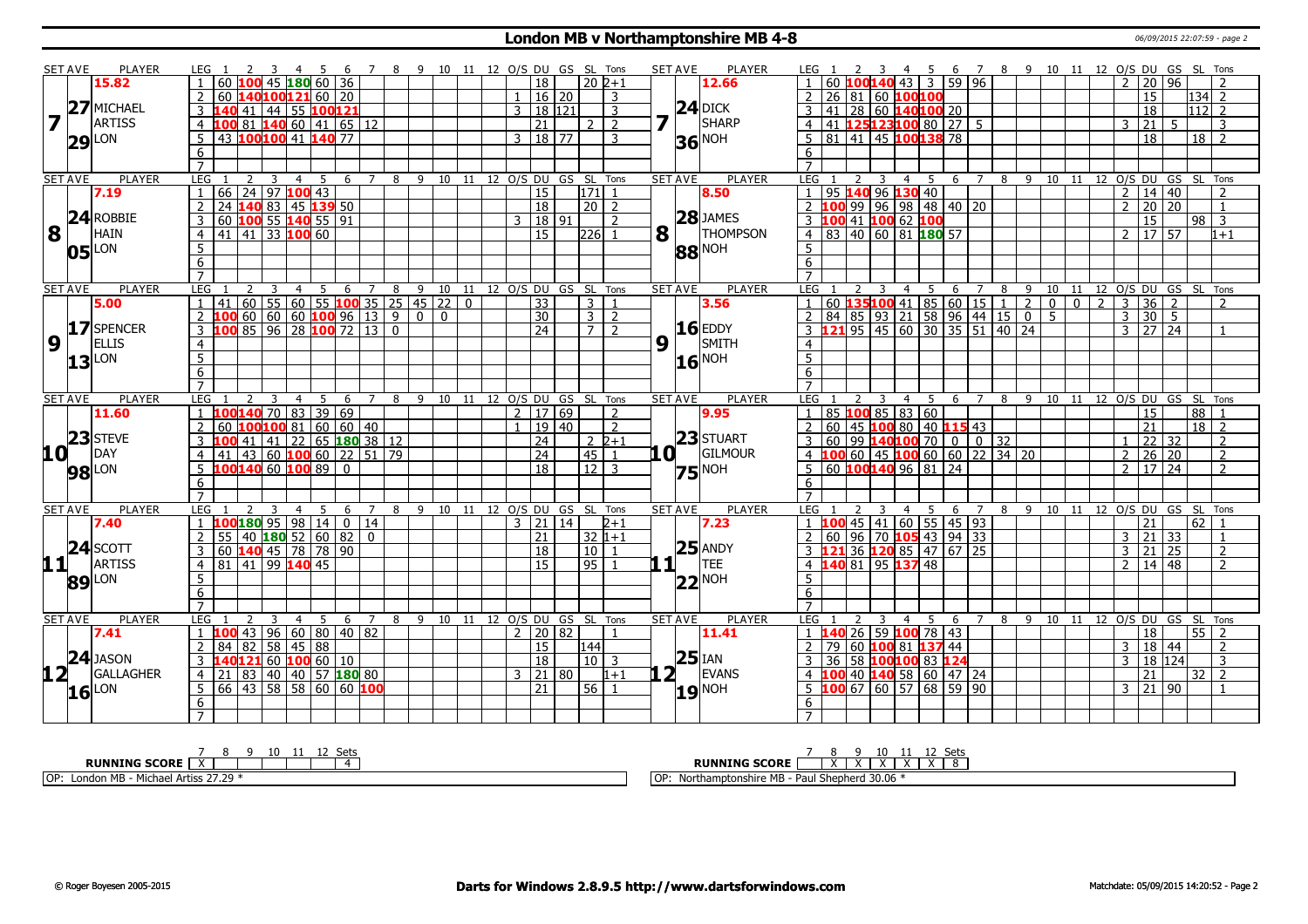### **London MB v Northamptonshire MB 4-8 1997 10 12:07:59** - page 2

|                 | <b>SET AVE</b> | <b>PLAYER</b>       | LEG 1                                                    |                     | - 5<br>- 6                                 |                | 8 9 10 11 12 O/S DU GS SL Tons     |  |                |                     |                    |                |             | <b>SET AVE</b> | PLAYER              | LEG 1            |                                                                 | 2  | $\overline{\mathbf{3}}$ | 45                               |                              |                |   |  | 6 7 8 9 10 11 12 O/S DU GS SL Tons |                  |                      |                |          |                |
|-----------------|----------------|---------------------|----------------------------------------------------------|---------------------|--------------------------------------------|----------------|------------------------------------|--|----------------|---------------------|--------------------|----------------|-------------|----------------|---------------------|------------------|-----------------------------------------------------------------|----|-------------------------|----------------------------------|------------------------------|----------------|---|--|------------------------------------|------------------|----------------------|----------------|----------|----------------|
|                 |                | 15.82               | 60                                                       |                     | 45 180 60 36                               |                |                                    |  |                | $\overline{18}$     | $20\overline{2+1}$ |                |             |                | 12.66               |                  | 60 $100140$ 43 3                                                |    |                         |                                  |                              | 59   96        |   |  |                                    | $\overline{2}$   | $20\sqrt{96}$        |                |          |                |
|                 |                |                     | <sup>2</sup><br>60.                                      |                     | 140100121 60 20                            |                |                                    |  | $\mathbf{1}$   | $16$   20           |                    | 3              |             |                |                     | $\overline{2}$   | 26 81 60 100100                                                 |    |                         |                                  |                              |                |   |  |                                    |                  | 15                   |                | $134$ 2  |                |
|                 | 27             | MICHAEL             | $\mathcal{E}$                                            |                     | 41 44 55 100121                            |                |                                    |  | $\mathbf{3}$   | 18 121              |                    | 3              |             |                |                     | 3                | 41                                                              |    |                         |                                  | 28 60 140100 20              |                |   |  |                                    |                  | 18                   |                | $112$ 2  |                |
| $\overline{7}$  |                | <b>ARTISS</b>       | 4 100 81 140 60 41 65 12                                 |                     |                                            |                |                                    |  |                | $\overline{21}$     | 2 <sub>1</sub>     | $\overline{2}$ | 7           |                | $24$ DICK<br>SHARP  | $\overline{4}$   | 41 125123100 80 27                                              |    |                         |                                  |                              | 5 <sup>5</sup> |   |  |                                    | $3 \mid 21 \mid$ |                      | 5 <sup>1</sup> |          | 3              |
|                 |                | LON                 | 43 100100 41 140 77<br>5 <sup>1</sup>                    |                     |                                            |                |                                    |  |                | $3 \mid 18 \mid 77$ |                    | 3              |             |                |                     | 5                | 81 41 45 100 138 78                                             |    |                         |                                  |                              |                |   |  |                                    |                  | 18                   |                | $18$ 2   |                |
|                 | 29             |                     | 6                                                        |                     |                                            |                |                                    |  |                |                     |                    |                |             |                | <b>36 NOH</b>       | 6                |                                                                 |    |                         |                                  |                              |                |   |  |                                    |                  |                      |                |          |                |
|                 |                |                     | $\overline{7}$                                           |                     |                                            |                |                                    |  |                |                     |                    |                |             |                |                     | $\overline{7}$   |                                                                 |    |                         |                                  |                              |                |   |  |                                    |                  |                      |                |          |                |
|                 | <b>SET AVE</b> | <b>PLAYER</b>       | <b>LEG</b><br>$\mathcal{P}$                              | 3<br>$\overline{4}$ | -5                                         |                | 6 7 8 9 10 11 12 O/S DU GS SL Tons |  |                |                     |                    |                |             | <b>SET AVE</b> | PLAYER              | LEG              |                                                                 | 2  | 3                       | - 5<br>$\overline{4}$            |                              | 6 7            |   |  | 8 9 10 11 12 O/S DU GS SL Tons     |                  |                      |                |          |                |
|                 |                | 7.19                | 66 24 97 100 43<br>$\mathbf{1}$                          |                     |                                            |                |                                    |  |                | $\overline{15}$     | 171 1              |                |             |                | 8.50                | 1                | 95 140 96 130 40                                                |    |                         |                                  |                              |                |   |  |                                    |                  | $2 \mid 14 \mid 40$  |                |          | $\overline{2}$ |
|                 |                |                     | 2                                                        |                     | 24 140 83 45 139 50                        |                |                                    |  |                | $\overline{18}$     | 20 2               |                |             |                |                     | $\overline{2}$   | 100                                                             |    |                         |                                  | 99 96 98 48 40 20            |                |   |  |                                    |                  | 2   20   20          |                |          | $\overline{1}$ |
|                 |                | $24$ ROBBIE         | $\mathbf{3}$                                             |                     | 60 100 55 140 55 91                        |                |                                    |  | २              | 18 91               |                    | $\mathcal{P}$  |             |                | $28$ JAMES          | $\mathbf{3}$     | 100 41 100 62 100                                               |    |                         |                                  |                              |                |   |  |                                    |                  | 15                   |                | $98$ 3   |                |
| 8               |                | <b>HAIN</b>         | $4 \mid 41 \mid 41 \mid 33 \mid 100 \mid 60$             |                     |                                            |                |                                    |  |                | 15                  | $ 226 $ 1          |                | $8\sqrt{1}$ |                | <b>THOMPSON</b>     |                  | $4$ 83 40 60 81 180 57                                          |    |                         |                                  |                              |                |   |  |                                    |                  | $2 \mid 17 \mid 57$  |                |          | $1 + 1$        |
|                 |                | LON                 | 5 <sub>5</sub>                                           |                     |                                            |                |                                    |  |                |                     |                    |                |             |                | 88 NOH              | $\overline{5}$   |                                                                 |    |                         |                                  |                              |                |   |  |                                    |                  |                      |                |          |                |
|                 | 05             |                     | 6                                                        |                     |                                            |                |                                    |  |                |                     |                    |                |             |                |                     | 6                |                                                                 |    |                         |                                  |                              |                |   |  |                                    |                  |                      |                |          |                |
|                 |                |                     | $\overline{7}$                                           |                     |                                            |                |                                    |  |                |                     |                    |                |             |                |                     | $\overline{7}$   |                                                                 |    |                         |                                  |                              |                |   |  |                                    |                  |                      |                |          |                |
|                 | <b>SET AVE</b> | <b>PLAYER</b>       | <b>LEG</b><br>2                                          | $\overline{3}$      | 4 5 6 7 8 9 10 11 12 O/S DU GS SL Tons     |                |                                    |  |                |                     |                    |                |             | <b>SET AVE</b> | <b>PLAYER</b>       | <b>LEG</b>       |                                                                 |    | $\overline{3}$          | $\overline{4}$<br>$\overline{5}$ | 6                            |                |   |  | 7 8 9 10 11 12 O/S DU GS SL Tons   |                  |                      |                |          |                |
|                 |                | 5.00                | $\overline{1}$                                           |                     | $41   60   55   60   55$ 100 35 25 45 22 0 |                |                                    |  |                | $\overline{33}$     | $\overline{3}$     |                |             |                | 3.56                | $\overline{1}$   | 60   <mark>135 100</mark> 41   85   60   15   1   2   0   0   2 |    |                         |                                  |                              |                |   |  |                                    |                  | $3 \overline{)36}$ 2 |                |          | $\mathcal{L}$  |
|                 |                |                     | $\overline{2}$                                           |                     | $100$ 60 60 60 100 96 13 9 0 0             |                |                                    |  |                | 30                  | $3 \mid 2$         |                |             |                |                     | <sup>2</sup>     | 84   85   93   21   58   96   44   15   0   5                   |    |                         |                                  |                              |                |   |  |                                    |                  | $3 \mid 30 \mid 5$   |                |          |                |
|                 |                | 17 SPENCER          | $\overline{3}$                                           |                     | 100 85 96 28 100 72 13 0                   |                |                                    |  |                | $\overline{24}$     | $\overline{7}$     | $\overline{2}$ |             |                | $16$ EDDY           | $\overline{3}$   | <b>121</b> 95 45 60 30 35 51 40 24                              |    |                         |                                  |                              |                |   |  |                                    |                  | $3 \mid 27 \mid 24$  |                |          |                |
| 9               |                | <b>ELLIS</b>        | $\overline{4}$                                           |                     |                                            |                |                                    |  |                |                     |                    |                | 9           |                | SMITH               | $\overline{4}$   |                                                                 |    |                         |                                  |                              |                |   |  |                                    |                  |                      |                |          |                |
|                 | 13             | <b>LON</b>          | 5                                                        |                     |                                            |                |                                    |  |                |                     |                    |                |             |                | $16$ <sup>NOH</sup> | $5\overline{)}$  |                                                                 |    |                         |                                  |                              |                |   |  |                                    |                  |                      |                |          |                |
|                 |                |                     | 6                                                        |                     |                                            |                |                                    |  |                |                     |                    |                |             |                |                     | 6                |                                                                 |    |                         |                                  |                              |                |   |  |                                    |                  |                      |                |          |                |
|                 |                |                     | $\overline{7}$                                           |                     |                                            |                |                                    |  |                |                     |                    |                |             |                |                     | $\overline{7}$   |                                                                 |    |                         |                                  |                              |                |   |  |                                    |                  |                      |                |          |                |
|                 | <b>SET AVE</b> | <b>PLAYER</b>       | LEG                                                      | $\overline{4}$      | 5<br>6                                     | $\overline{7}$ | 8 9 10 11 12 0/S DU GS SL Tons     |  |                |                     |                    |                |             | <b>SET AVE</b> | PLAYER              | LEG              |                                                                 |    | 3                       | 5<br>$\overline{4}$              |                              | 6 7            | 8 |  | 9 10 11 12 O/S DU GS SL Tons       |                  |                      |                |          |                |
|                 |                | 11.60               | $\overline{1}$                                           |                     | 00140 70 83 39 69                          |                |                                    |  | 2 <sup>1</sup> | 17 69               |                    |                |             |                | 9.95                |                  | $85$ 100 85 83 60                                               |    |                         |                                  |                              |                |   |  |                                    |                  | 15                   |                | 88       |                |
|                 |                |                     | 2                                                        |                     | 100100 81 60 60 40                         |                |                                    |  |                | 19 40               |                    | $\mathcal{L}$  |             |                |                     | $\overline{2}$   | 60 45 100 80 40 115 43                                          |    |                         |                                  |                              |                |   |  |                                    |                  | 21                   |                | $18$   2 |                |
|                 | 23             | <b>STEVE</b>        |                                                          |                     | $41 \mid 41 \mid 22 \mid 65$ 180 38 12     |                |                                    |  |                | $\overline{24}$     | $2\;2+1$           |                |             |                | 23 STUART           | 3                | $60$ 99 <b>140 100</b> 70 0 0 32                                |    |                         |                                  |                              |                |   |  |                                    |                  | 22 32                |                |          | $\overline{2}$ |
| 10 <sup>1</sup> |                | <b>IDAY</b>         | $\overline{4}$                                           |                     | $41$ 43 60 <b>100</b> 60 22 51 79          |                |                                    |  |                | $\overline{24}$     | 45                 | $\overline{1}$ | 0 L         |                | GILMOUR             | $\overline{4}$   | $100$ 60 45 100 60 60 22 34 20                                  |    |                         |                                  |                              |                |   |  |                                    |                  | $2 \ 26 \ 20$        |                |          | $\overline{2}$ |
|                 |                | <b>98</b> LON       | -5<br>100140 60 100 89 0                                 |                     |                                            |                |                                    |  |                | 18                  | $12$ 3             |                |             |                | $75$ <sup>NOH</sup> | 5                | 60 <b>100140</b> 96 81 24                                       |    |                         |                                  |                              |                |   |  |                                    |                  | 2 17 24              |                |          | $\overline{2}$ |
|                 |                |                     | 6                                                        |                     |                                            |                |                                    |  |                |                     |                    |                |             |                |                     | 6                |                                                                 |    |                         |                                  |                              |                |   |  |                                    |                  |                      |                |          |                |
|                 |                |                     | $\overline{7}$                                           |                     |                                            |                |                                    |  |                |                     |                    |                |             |                |                     | $\overline{7}$   |                                                                 |    |                         |                                  |                              |                |   |  |                                    |                  |                      |                |          |                |
|                 | <b>SET AVE</b> | <b>PLAYER</b>       | <b>LEG</b>                                               | 3<br>$\overline{4}$ | -5<br>6                                    | $\overline{7}$ | 8 9 10 11 12 0/S DU GS SL Tons     |  |                |                     |                    |                |             | <b>SET AVE</b> | PLAYER              | LEG              |                                                                 |    | 3                       | 5<br>$\overline{4}$              | 6                            | 7              |   |  | 8 9 10 11 12 O/S DU GS SL Tons     |                  |                      |                |          |                |
|                 |                | 7.40                | $\overline{1}$                                           |                     | 100 180 95 98 14 0 14                      |                |                                    |  |                | $3 \mid 21 \mid 14$ |                    | $2 + 1$        |             |                | 7.23                | $\overline{1}$   |                                                                 |    |                         |                                  | 45 41 60 55 45 93            |                |   |  |                                    |                  | 21                   |                | 62       | $\overline{1}$ |
|                 |                |                     | 2                                                        |                     | 55   40   180   52   60   82   0           |                |                                    |  |                | $\overline{21}$     | $32 1+1$           |                |             |                |                     | $\overline{2}$   | 60                                                              | 96 | $\overline{70}$         |                                  | $105$ 43 94 33               |                |   |  |                                    |                  | $3 \mid 21 \mid 33$  |                |          |                |
|                 |                | $24$ SCOTT          | $\overline{3}$                                           |                     | 60 140 45 78 78 90                         |                |                                    |  |                | 18                  | $\overline{10}$    | $\mathbf{1}$   |             |                | $25$ ANDY           | 3                |                                                                 |    |                         |                                  | 36 120 85 47 67 25           |                |   |  |                                    |                  | $3 \mid 21 \mid 25$  |                |          | $\overline{2}$ |
| 11              |                | ARTISS              | $81 \mid 41 \mid 99$ 140 45<br>$\overline{4}$            |                     |                                            |                |                                    |  |                | $\overline{15}$     | 95                 | $\mathbf{1}$   |             | $1\mathsf{T}$  | TEE                 | $\overline{4}$   | 140 81                                                          |    | $\overline{95}$         | $137$ 48                         |                              |                |   |  |                                    | $\overline{2}$   | 14   48              |                |          | $\overline{2}$ |
|                 |                | <b>89</b> LON       | 5 <sub>5</sub>                                           |                     |                                            |                |                                    |  |                |                     |                    |                |             | 22             | NOH                 | 5                |                                                                 |    |                         |                                  |                              |                |   |  |                                    |                  |                      |                |          |                |
|                 |                |                     | 6                                                        |                     |                                            |                |                                    |  |                |                     |                    |                |             |                |                     | 6                |                                                                 |    |                         |                                  |                              |                |   |  |                                    |                  |                      |                |          |                |
|                 |                |                     | $\overline{7}$                                           |                     |                                            |                |                                    |  |                |                     |                    |                |             |                |                     | $\overline{7}$   |                                                                 |    |                         |                                  |                              |                |   |  |                                    |                  |                      |                |          |                |
|                 | <b>SET AVE</b> | <b>PLAYER</b>       | LEG                                                      | $\overline{3}$      | 4 5 6 7 8 9 10 11 12 O/S DU GS SL Tons     |                |                                    |  |                |                     |                    |                |             | <b>SET AVE</b> | <b>PLAYER</b>       | LEG <sub>1</sub> |                                                                 |    | $\overline{3}$          | $\overline{4}$<br>5              | 6                            |                |   |  | 7 8 9 10 11 12 O/S DU GS SL Tons   |                  |                      |                |          |                |
|                 |                | 7.41                | $\vert$ 1<br>100I                                        |                     | 43 96 60 80 40 82                          |                |                                    |  |                | 2   20   82         |                    |                |             |                | 11.41               |                  | $1 \t140$ 26 59 100 78 43                                       |    |                         |                                  |                              |                |   |  |                                    |                  | $\overline{18}$      |                | $55$   2 |                |
|                 |                |                     | 84 82 58 45 88<br>$\overline{2}$                         |                     |                                            |                |                                    |  |                | 15                  | 144                |                |             |                |                     | $\overline{2}$   | 79                                                              |    | 60 <b>100</b> 81        |                                  | 13744                        |                |   |  |                                    |                  | 3   18   44          |                |          | $\overline{z}$ |
|                 |                | $24$ JASON          | 3 140121 60 100 60 10                                    |                     |                                            |                |                                    |  |                | 18                  | 10                 | $\mathbf{R}$   |             |                | $25$ IAN            | 3                | 36                                                              |    |                         |                                  | 58 100100 83 124             |                |   |  |                                    |                  | 3   18   124         |                |          | $\overline{3}$ |
| 12 <sub>1</sub> |                | lgallagher          | 4                                                        |                     | 21   83   40   40   57   180   80          |                |                                    |  | २              | 21 80               |                    | $1 + 1$        |             | 2⊥             | <b>EVANS</b>        | $\overline{4}$   |                                                                 |    |                         |                                  | 40   140   58   60   47   24 |                |   |  |                                    |                  | 21                   |                | $32$   2 |                |
|                 |                | $16$ <sup>LON</sup> | 66   43   58   58   60   60 <b>100</b><br>5 <sup>5</sup> |                     |                                            |                |                                    |  |                | 21                  | 56                 |                |             |                | $19$ <sup>NOH</sup> | 5                | $100$ 67 60 57 68 59 90                                         |    |                         |                                  |                              |                |   |  |                                    |                  | $3 \mid 21 \mid 90$  |                |          |                |
|                 |                |                     | 6                                                        |                     |                                            |                |                                    |  |                |                     |                    |                |             |                |                     | 6                |                                                                 |    |                         |                                  |                              |                |   |  |                                    |                  |                      |                |          |                |
|                 |                |                     |                                                          |                     |                                            |                |                                    |  |                |                     |                    |                |             |                |                     |                  |                                                                 |    |                         |                                  |                              |                |   |  |                                    |                  |                      |                |          |                |
|                 |                |                     |                                                          |                     |                                            |                |                                    |  |                |                     |                    |                |             |                |                     |                  |                                                                 |    |                         |                                  |                              |                |   |  |                                    |                  |                      |                |          |                |

| ັບເພ                                                             | c۵t<br>10<br>ັບພ<br>--                                                                       |
|------------------------------------------------------------------|----------------------------------------------------------------------------------------------|
| <b>RUNNING SCORE</b><br>$\ddot{\phantom{1}}$                     | <b>RUNNING SCORE</b><br>$\Omega$                                                             |
| מר דר<br>l∩P∙<br>Michael<br><b>AD</b><br>Artiss 27.2.<br>undon : | Shepherd 30.06 ار<br><b>OP</b><br>$^{\circ}$ MB $^{\circ}$<br>Par<br>hptonshire<br>1901 U Id |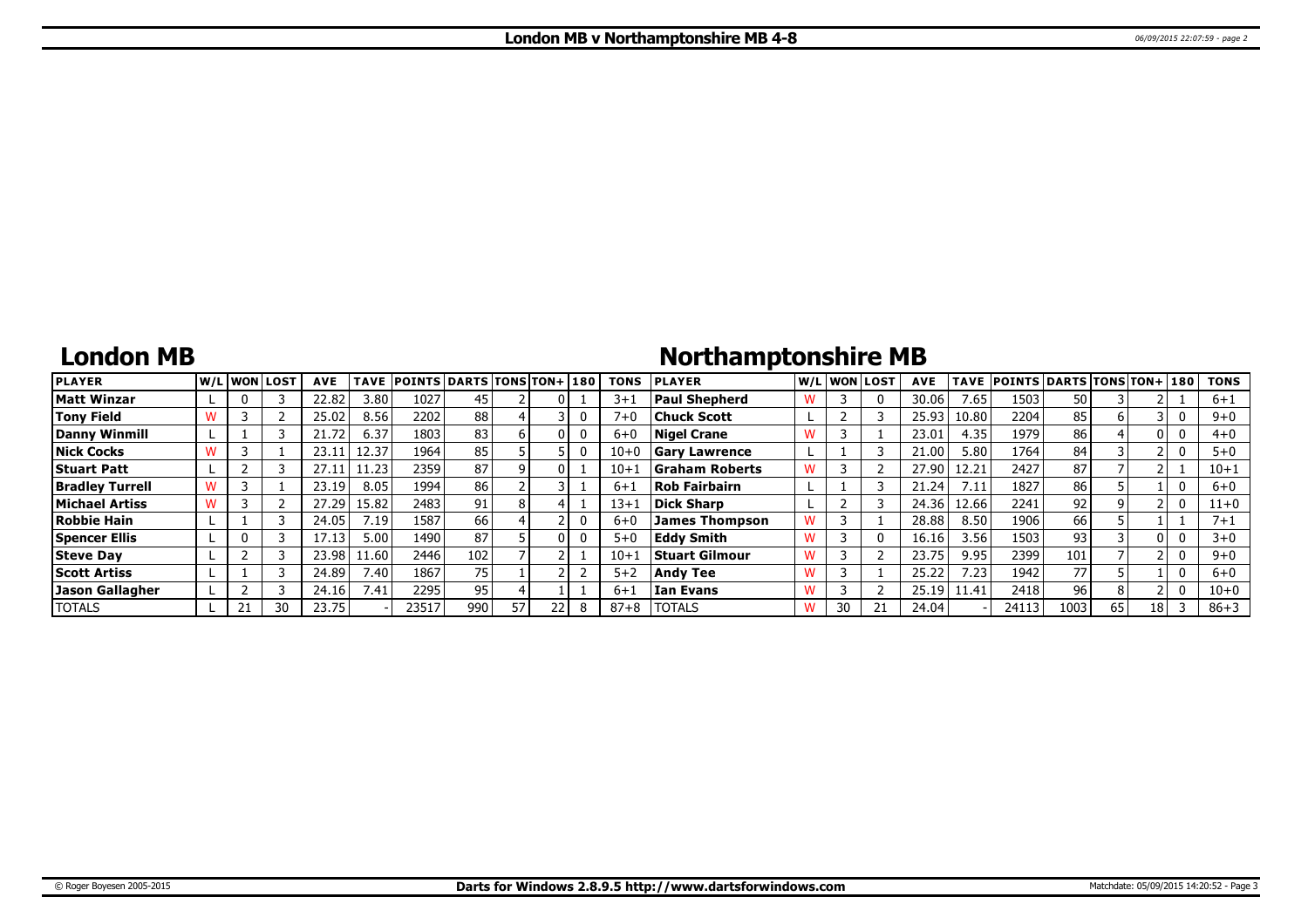### **London MB**

# **Northamptonshire MB**

| <b>PLAYER</b>          |  | W/Liwonilost! | <b>AVE</b> | <b>TAVE</b> | <b>POINTS DARTS TONS TON+1180</b> |      |    |    |   | <b>TONS</b> | <b>IPLAYER</b>       |   |    | W/Liwonilost! | <b>AVE</b> |       | TAVE POINTS DARTS TONS TON+ 180 |      |    |      |              | <b>TONS</b> |
|------------------------|--|---------------|------------|-------------|-----------------------------------|------|----|----|---|-------------|----------------------|---|----|---------------|------------|-------|---------------------------------|------|----|------|--------------|-------------|
| Matt Winzar            |  |               | 22.82      | 3.80        | 1027                              | 45   |    |    |   | $3 + 1$     | <b>Paul Shepherd</b> |   |    |               | 30.06      | 7.65  | 1503                            | 50   |    |      |              | $6 + 1$     |
| Tony Field             |  |               | 25.02      | 8.56        | 2202                              | 88   |    |    |   | $7 + 0$     | Chuck Scott          |   |    |               | 25.93      | 10.80 | 2204                            | 85   |    |      | 0            | $9 + 0$     |
| Danny Winmill          |  |               | 21.72      | 6.37        | 1803                              | 83   |    |    |   | $6 + 0$     | <b>Nigel Crane</b>   |   |    |               | 23.01      | 4.35  | 1979                            | 86   |    | 0    | 0            | $4+0$       |
| Nick Cocks             |  |               | 23.11      | 12.37       | 1964                              | 85   |    |    |   | $10 + 0$    | <b>Gary Lawrence</b> |   |    |               | 21.00      | 5.80  | 1764                            | 84   |    |      | $\mathbf{0}$ | $5 + 0$     |
| <b>Stuart Patt</b>     |  |               | 27.11      | 11.23       | 2359                              | 87   |    | 01 |   | $10+1$      | Graham Roberts       |   |    |               | 27.90      | 12.21 | 2427                            | 87   |    |      |              | $10 + 1$    |
| <b>Bradley Turrell</b> |  |               | 23.19      | 8.05        | 1994                              | 86   |    |    |   | $6 + 1$     | <b>Rob Fairbairn</b> |   |    |               | 21.24      | 7.11  | 1827                            | 86   |    |      | 0            | 6+0         |
| Michael Artiss         |  |               | 27.29      | 15.82       | 2483                              | 91   |    |    |   | $13+1$      | Dick Sharp           |   |    |               | 24.36      | 12.66 | 2241                            | 92   |    |      | $\mathbf{0}$ | $11+0$      |
| Robbie Hain            |  |               | 24.05      | 7.19        | 1587                              | 66 l |    |    |   | $6 + 0$     | James Thompson       |   |    |               | 28.88      | 8.50  | 1906                            | 66   |    |      |              | $7 + 1$     |
| <b>Spencer Ellis</b>   |  |               | l7.13      | 5.00        | 1490                              | 87   |    |    |   | $5 + 0$     | <b>Eddy Smith</b>    | w |    |               | 16.16      | 3.56  | 1503                            | 93   |    |      | 0            | $3 + 0$     |
| <b>Steve Day</b>       |  |               | 23.98      | 1.60        | 2446                              | 102  |    |    |   | $10+1$      | Stuart Gilmour       | w |    |               | 23.75      | 9.95  | 2399                            | 101  |    |      | 0            | $9 + 0$     |
| <b>Scott Artiss</b>    |  |               | 24.89      | 7.40        | 1867                              | 75   |    |    |   | $5 + 2$     | Andv Tee             |   |    |               | 25.22      | 7.23. | 1942                            | 77   |    |      | 0            | 6+0         |
| <b>Jason Gallagher</b> |  |               | 24.16      | 7.41        | 2295                              | 951  |    |    |   | $6 + 1$     | l Ian Evans          | w |    |               | 25.19      | 11.41 | 2418                            | 96   |    |      | $\Omega$     | $10 + 0$    |
| <b>ITOTALS</b>         |  | 30            | 23.75      |             | 23517                             | 990  | 57 |    | 8 | $87 + 8$    | <b>ITOTALS</b>       | w | 30 |               | 24.04      |       | 24113                           | 1003 | 65 | 18 I |              | $86 + 3$    |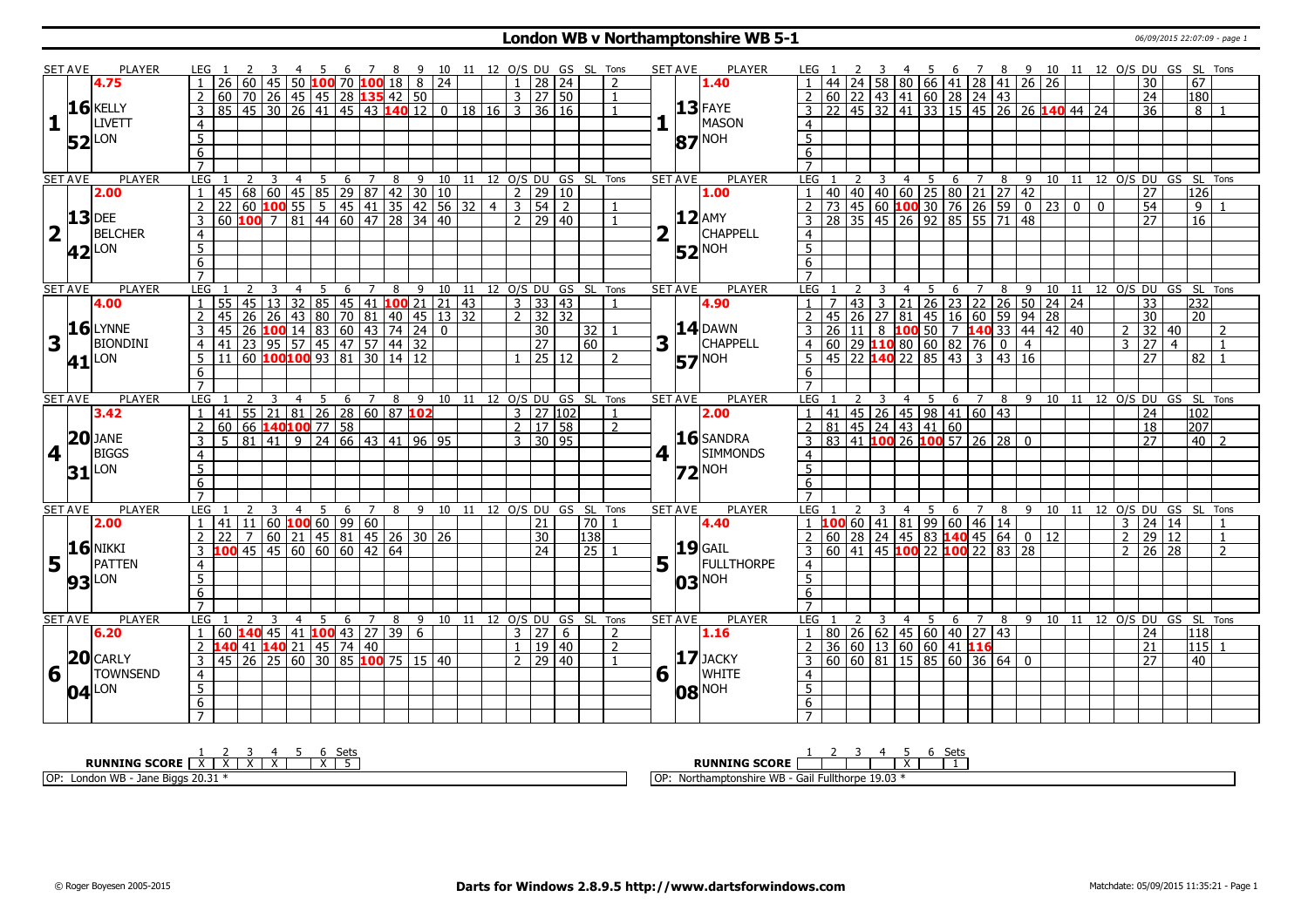### **London WB v Northamptonshire WB 5-1** 06/09/2015 22:07:09 - page 1

|                         | <b>SET AVE</b> | <b>PLAYER</b>       | LEG 1          |      |   |                | 3 4 5 6 7 8 9 10 11 12 O/S DU GS SL Tons                               |     |                 |                |                       |  |                         |                      |         |                 |                                                 |                | <b>SET AVE</b>   | PLAYER                              | LEG 1                   |           |                |                                                                        |                                             |   |                |                    |                |               |             |             | 3 4 5 6 7 8 9 10 11 12 O/S DU GS SL Tons          |                  |                |  |
|-------------------------|----------------|---------------------|----------------|------|---|----------------|------------------------------------------------------------------------|-----|-----------------|----------------|-----------------------|--|-------------------------|----------------------|---------|-----------------|-------------------------------------------------|----------------|------------------|-------------------------------------|-------------------------|-----------|----------------|------------------------------------------------------------------------|---------------------------------------------|---|----------------|--------------------|----------------|---------------|-------------|-------------|---------------------------------------------------|------------------|----------------|--|
|                         |                | 4.75                |                |      |   |                | 1 26 60 45 50 100 70 100 18 8 24                                       |     |                 |                |                       |  | $\mathbf{1}$            |                      | 28   24 |                 | $\mathcal{L}$                                   |                |                  | 1.40                                |                         |           |                | 58 80 66 41 28 41 26 26                                                |                                             |   |                |                    |                |               |             |             | 30                                                | $\overline{67}$  |                |  |
|                         |                |                     |                |      |   |                | 2 60 70 26 45 45 28 135 42 50                                          |     |                 |                |                       |  | 3 <sup>1</sup>          | 27 50                |         |                 |                                                 |                |                  |                                     | $\overline{2}$          |           |                | 60 22 43 41 60 28 24 43                                                |                                             |   |                |                    |                |               |             |             | $\overline{24}$                                   | 180              |                |  |
|                         |                | $16$ KELLY          |                |      |   |                | 85 45 30 26 41 45 43 140 12 0 18 16                                    |     |                 |                |                       |  | $\overline{3}$          |                      | 36   16 |                 |                                                 |                |                  | $ 13 $ FAYE                         |                         |           |                | 22   45   32   41   33   15   45   26   26   <mark>140</mark> 44   24  |                                             |   |                |                    |                |               |             |             | 36                                                | 8                |                |  |
| 1                       |                | <b>LIVETT</b>       | $\overline{4}$ |      |   |                |                                                                        |     |                 |                |                       |  |                         |                      |         |                 |                                                 | 1              |                  | MASON                               | $\overline{4}$          |           |                |                                                                        |                                             |   |                |                    |                |               |             |             |                                                   |                  |                |  |
|                         |                |                     | 5              |      |   |                |                                                                        |     |                 |                |                       |  |                         |                      |         |                 |                                                 |                |                  | $ 87 $ <sup>NOH</sup>               | $\overline{5}$          |           |                |                                                                        |                                             |   |                |                    |                |               |             |             |                                                   |                  |                |  |
|                         |                | $52$ <sup>LON</sup> | 6              |      |   |                |                                                                        |     |                 |                |                       |  |                         |                      |         |                 |                                                 |                |                  |                                     | 6                       |           |                |                                                                        |                                             |   |                |                    |                |               |             |             |                                                   |                  |                |  |
|                         |                |                     | $\overline{7}$ |      |   |                |                                                                        |     |                 |                |                       |  |                         |                      |         |                 |                                                 |                |                  |                                     |                         |           |                |                                                                        |                                             |   |                |                    |                |               |             |             |                                                   |                  |                |  |
|                         | <b>SET AVE</b> | <b>PLAYER</b>       | LEG            |      | 3 | $\overline{4}$ | 5                                                                      | 6   | $7\overline{ }$ | $\overline{8}$ |                       |  |                         |                      |         |                 | 9 10 11 12 O/S DU GS SL Tons                    |                | <b>SET AVE</b>   | <b>PLAYER</b>                       | <b>LEG</b>              |           | $\overline{2}$ | $\overline{3}$                                                         | 5<br>$\overline{4}$                         | 6 | 7              |                    |                |               |             |             | 8 9 10 11 12 O/S DU GS SL Tons                    |                  |                |  |
|                         |                | 2.00                |                |      |   |                | 68   60   45   85   29   87   42   30   10                             |     |                 |                |                       |  |                         | 2   29   10          |         |                 |                                                 |                |                  | 1.00                                |                         | 40        |                | 40 40 60 25 80 21                                                      |                                             |   |                |                    | 27 42          |               |             |             | 27                                                | 126              |                |  |
|                         |                |                     | $\overline{2}$ | 22   |   | $60$ 100 55    |                                                                        |     |                 |                | 5 45 41 35 42 56 32 4 |  | $\overline{\mathbf{3}}$ | 54                   | 2       |                 |                                                 |                |                  |                                     |                         |           |                | 73 45 60 100 30 76 26 59                                               |                                             |   |                |                    |                | 0  23   0     | $\mathbf 0$ |             | $\overline{54}$                                   | 9                |                |  |
|                         | $13$ DEE       |                     | $\mathcal{E}$  |      |   |                | 60 100 7 81 44 60 47 28 34 40                                          |     |                 |                |                       |  | 2 <sup>1</sup>          |                      | 29 40   |                 |                                                 |                |                  | $ 12 $ AMY                          | $\overline{3}$          |           |                | 28 35 45 26 92 85 55 71 48                                             |                                             |   |                |                    |                |               |             |             | $\overline{27}$                                   | $\overline{16}$  |                |  |
| $\overline{\mathbf{2}}$ |                | <b>BELCHER</b>      |                |      |   |                |                                                                        |     |                 |                |                       |  |                         |                      |         |                 |                                                 | 2 <sup>1</sup> |                  | <b>CHAPPELL</b>                     |                         |           |                |                                                                        |                                             |   |                |                    |                |               |             |             |                                                   |                  |                |  |
|                         |                |                     | $\overline{4}$ |      |   |                |                                                                        |     |                 |                |                       |  |                         |                      |         |                 |                                                 |                |                  |                                     | $\overline{4}$          |           |                |                                                                        |                                             |   |                |                    |                |               |             |             |                                                   |                  |                |  |
|                         |                | $ 42 $ LON          | $\overline{5}$ |      |   |                |                                                                        |     |                 |                |                       |  |                         |                      |         |                 |                                                 |                |                  | $52$ <sup>NOH</sup>                 | $\overline{5}$          |           |                |                                                                        |                                             |   |                |                    |                |               |             |             |                                                   |                  |                |  |
|                         |                |                     | 6              |      |   |                |                                                                        |     |                 |                |                       |  |                         |                      |         |                 |                                                 |                |                  |                                     | 6                       |           |                |                                                                        |                                             |   |                |                    |                |               |             |             |                                                   |                  |                |  |
|                         |                |                     | $\overline{7}$ |      |   |                |                                                                        |     |                 |                |                       |  |                         |                      |         |                 |                                                 |                |                  |                                     | $\overline{7}$          |           |                |                                                                        |                                             |   |                |                    |                |               |             |             |                                                   |                  |                |  |
|                         | <b>SET AVE</b> | PLAYER              | LEG            |      |   | 4              | 5                                                                      | 6   | 7               | 8              | 9 10 11               |  |                         |                      |         |                 | 12 O/S DU GS SL Tons                            |                | <b>SET AVE</b>   | PLAYER                              | LEG                     |           | 2              | 3                                                                      | 5<br>4                                      | 6 | $\overline{7}$ | $\overline{8}$     | 9              | 10            |             |             | 11 12 0/S DU GS SL Tons                           |                  |                |  |
|                         |                | 4.00                | $\overline{1}$ |      |   |                | 45 13 32 85 45 41 100 21 21 43<br>26 26 43 80 70 81 40 45 13 32        |     |                 |                |                       |  |                         | $3 \mid 33 \mid 43$  |         |                 |                                                 |                |                  | 4.90                                | $\mathbf{1}$            |           | 43             |                                                                        |                                             |   |                |                    |                |               |             |             | $\overline{33}$                                   | 232              |                |  |
|                         |                |                     | $2 \mid 45$    |      |   |                |                                                                        |     |                 |                |                       |  |                         | $2 \mid 32 \mid 32$  |         |                 |                                                 |                |                  |                                     | $\overline{2}$          | 45        | <b>26</b>      |                                                                        |                                             |   |                |                    |                |               |             |             | $\overline{30}$                                   | l 20.            |                |  |
|                         |                | $16$ LYNNE          |                |      |   |                | 3 45 26 <b>100</b> 14 83 60 43 74 24 0<br>4 41 23 95 57 45 47 57 44 32 |     |                 |                |                       |  |                         | 30                   |         | 32              |                                                 |                |                  | $14$ DAWN                           | 3                       | 26        | 11             | 8                                                                      | $100$ 50 7 140 33 44 42 40                  |   |                |                    |                |               |             |             | $2 \mid 32 \mid 40$                               |                  | $\overline{z}$ |  |
| 3                       |                | <b>BIONDINI</b>     |                |      |   |                |                                                                        |     |                 |                |                       |  |                         | $\overline{27}$      |         | 60              |                                                 |                | $3\vert \bar{1}$ | CHAPPELL                            | $\overline{4}$          |           |                |                                                                        |                                             |   |                | $\overline{\circ}$ | $\overline{4}$ |               |             | $3 \mid 27$ | $\overline{4}$                                    |                  | $\mathbf{1}$   |  |
|                         |                | $41$ <sup>LON</sup> |                |      |   |                | $\overline{5}$ 11 60 <b>100 100</b> 93 81 30 14 12                     |     |                 |                |                       |  |                         |                      | 25 12   |                 | $\mathcal{L}$                                   |                |                  | $57$ <sup>NOH</sup>                 | 5 <sup>5</sup>          |           |                | $\frac{1}{145}$ 22 <b>140</b> 22 85 43                                 |                                             |   | $\overline{3}$ |                    | $\sqrt{43}$ 16 |               |             |             | $\overline{27}$                                   | 82               |                |  |
|                         |                |                     | 6              |      |   |                |                                                                        |     |                 |                |                       |  |                         |                      |         |                 |                                                 |                |                  |                                     | 6                       |           |                |                                                                        |                                             |   |                |                    |                |               |             |             |                                                   |                  |                |  |
|                         |                |                     | $\overline{7}$ |      |   |                |                                                                        |     |                 |                |                       |  |                         |                      |         |                 |                                                 |                |                  |                                     | $\overline{7}$          |           |                |                                                                        |                                             |   |                |                    |                |               |             |             |                                                   |                  |                |  |
|                         | <b>SET AVE</b> | <b>PLAYER</b>       | LEG            |      |   | 4              | 5                                                                      | - 6 | 7               | 8              |                       |  |                         |                      |         |                 | 9 10 11 12 O/S DU GS SL Tons                    |                | <b>SET AVE</b>   | PLAYER                              | LEG                     |           |                | 3                                                                      | - 5<br>4                                    | 6 | 7              | 8                  | 9              |               |             |             | 10 11 12 0/S DU GS SL Tons                        |                  |                |  |
|                         |                | 3.42                |                |      |   |                | 1 41 55 21 81 26 28 60 87 102                                          |     |                 |                |                       |  |                         | $3$   27   102       |         |                 |                                                 |                |                  | 2.00                                | $\overline{1}$          |           |                | 41 45 26 45 98 41 60 43                                                |                                             |   |                |                    |                |               |             |             | 24                                                | 102              |                |  |
|                         |                |                     |                |      |   |                |                                                                        |     |                 |                |                       |  |                         | $2 \mid 17 \mid 58$  |         |                 | $\overline{2}$                                  |                |                  |                                     | $\overline{2}$          |           |                |                                                                        |                                             |   |                |                    |                |               |             |             | 18                                                | 207              |                |  |
|                         |                | $ 20 $ JANE         |                |      |   |                | 2 60 66 <b>140 100</b> 77 58                                           |     |                 |                |                       |  |                         | $3 \mid 30 \mid 95$  |         |                 |                                                 |                |                  | 16 SANDRA                           |                         |           |                | $\frac{1}{83}$ 41 <b>100</b> 26 <b>100</b> 57 26 28                    |                                             |   |                |                    | $\mathbf{0}$   |               |             |             | $\overline{27}$                                   | 40               | $\overline{z}$ |  |
| 4                       |                | <b>BIGGS</b>        | $\overline{4}$ |      |   |                |                                                                        |     |                 |                |                       |  |                         |                      |         |                 |                                                 |                | $4 \mid$         | <b>SIMMONDS</b>                     | $\overline{4}$          |           |                |                                                                        |                                             |   |                |                    |                |               |             |             |                                                   |                  |                |  |
|                         | 31             | <b>LON</b>          | 5              |      |   |                |                                                                        |     |                 |                |                       |  |                         |                      |         |                 |                                                 |                |                  | $Z^{\text{NOH}}$                    | $5\overline{)}$         |           |                |                                                                        |                                             |   |                |                    |                |               |             |             |                                                   |                  |                |  |
|                         |                |                     | 6              |      |   |                |                                                                        |     |                 |                |                       |  |                         |                      |         |                 |                                                 |                |                  |                                     | 6                       |           |                |                                                                        |                                             |   |                |                    |                |               |             |             |                                                   |                  |                |  |
|                         |                |                     | $\overline{7}$ |      |   |                |                                                                        |     |                 |                |                       |  |                         |                      |         |                 |                                                 |                |                  |                                     | $\overline{7}$          |           |                |                                                                        |                                             |   |                |                    |                |               |             |             |                                                   |                  |                |  |
|                         | <b>SET AVE</b> | <b>PLAYER</b>       | <b>LEG</b>     |      | 3 | $\overline{4}$ | $\overline{5}$                                                         | 6   | $\overline{7}$  |                |                       |  |                         |                      |         |                 | 8 9 10 11 12 O/S DU GS SL Tons                  |                | <b>SET AVE</b>   | PLAYER                              | LEG                     |           |                |                                                                        |                                             |   |                |                    |                |               |             |             | 9 10 11 12 O/S DU GS SL Tons                      |                  |                |  |
|                         |                | 2.00                | 1              |      |   |                | $141$   11   60 <b>100</b> 60   99   60                                |     |                 |                |                       |  |                         | 21                   |         | 70              |                                                 |                |                  | 4.40                                |                         |           |                | <u>LEG 1 2 3 4 5 6 7 8<br/>1 <mark>100</mark> 60 41 81 99 60 46 14</u> |                                             |   |                |                    |                |               |             |             | $3 \mid 24 \mid 14$                               |                  |                |  |
|                         |                |                     |                | 2 22 |   |                | 7 60 21 45 81 45 26 30 26                                              |     |                 |                |                       |  |                         | 30                   |         | 138             |                                                 |                |                  |                                     | $\overline{2}$          |           |                | 60 28 24 45 83 140 45 64                                               |                                             |   |                |                    |                | $\sqrt{0}$ 12 |             |             | $2$ 29 12                                         |                  | $\mathbf{1}$   |  |
|                         |                | <b>16 NIKKI</b>     |                |      |   |                | 3 100 45 45 60 60 60 42 64                                             |     |                 |                |                       |  |                         | $\overline{24}$      |         | $\overline{25}$ |                                                 |                |                  |                                     | $\overline{\mathbf{3}}$ | $60$   41 |                | 145 <mark>100</mark> 22 <mark>100</mark> 22 183 128                    |                                             |   |                |                    |                |               |             |             | $2 \mid 26 \mid 28$                               |                  | $\overline{z}$ |  |
| 5                       |                | PATTEN              | $\overline{4}$ |      |   |                |                                                                        |     |                 |                |                       |  |                         |                      |         |                 |                                                 | 5 <sup>1</sup> |                  | <b>19</b> GAIL<br><b>FULLTHORPE</b> | $\overline{4}$          |           |                |                                                                        |                                             |   |                |                    |                |               |             |             |                                                   |                  |                |  |
|                         |                |                     | $\overline{5}$ |      |   |                |                                                                        |     |                 |                |                       |  |                         |                      |         |                 |                                                 |                |                  |                                     | $\overline{5}$          |           |                |                                                                        |                                             |   |                |                    |                |               |             |             |                                                   |                  |                |  |
|                         |                | <b>93</b> LON       | $\overline{6}$ |      |   |                |                                                                        |     |                 |                |                       |  |                         |                      |         |                 |                                                 |                |                  | $ 03 $ <sup>NOH</sup>               | 6                       |           |                |                                                                        |                                             |   |                |                    |                |               |             |             |                                                   |                  |                |  |
|                         |                |                     | $\overline{7}$ |      |   |                |                                                                        |     |                 |                |                       |  |                         |                      |         |                 |                                                 |                |                  |                                     | $\overline{7}$          |           |                |                                                                        |                                             |   |                |                    |                |               |             |             |                                                   |                  |                |  |
|                         |                | <b>PLAYER</b>       |                |      |   |                |                                                                        |     |                 |                |                       |  |                         |                      |         |                 |                                                 |                |                  | <b>PLAYER</b>                       | LEG                     |           |                |                                                                        |                                             |   |                |                    |                |               |             |             |                                                   |                  |                |  |
|                         | <b>SET AVE</b> |                     | LEG            |      | 3 | $\overline{4}$ | $\overline{5}$<br>$1   60$ <b>140</b> 45 41 <b>100</b> 43 27 39 6      |     | 6 <sub>7</sub>  |                |                       |  |                         | $3 \overline{)27}$ 6 |         |                 | 8 9 10 11 12 0/S DU GS SL Tons<br>$\mathcal{L}$ |                | SET AVE          |                                     | $\overline{1}$          |           |                | 3<br>80 26 62 45 60 40 27 43                                           | $\overline{\phantom{0}5}$<br>$\overline{4}$ | 6 | $\overline{7}$ |                    |                |               |             |             | 8 9 10 11 12 0/S DU GS SL Tons<br>$\overline{24}$ | 118              |                |  |
|                         |                | 6.20                |                |      |   |                |                                                                        |     |                 |                |                       |  |                         |                      |         |                 | $\overline{2}$                                  |                |                  | 1.16                                | $\overline{2}$          |           |                |                                                                        |                                             |   |                |                    |                |               |             |             |                                                   |                  |                |  |
|                         |                | $20$ CARLY          |                |      |   |                | 2 140 41 140 21 45 74 40                                               |     |                 |                |                       |  | $\mathbf{1}$            |                      | 19 40   |                 |                                                 |                |                  | $17$ JACKY                          |                         |           |                | 36 60 13 60 60 41 16<br>60 60 81 15 85 60 36 64 0                      |                                             |   |                |                    |                |               |             |             | $\overline{21}$                                   | $\overline{115}$ |                |  |
|                         |                |                     | $\overline{3}$ |      |   |                | 45 26 25 60 30 85 100 75 15 40                                         |     |                 |                |                       |  | $\mathcal{P}$           |                      | 29 40   |                 |                                                 |                |                  |                                     | $\overline{3}$          |           |                |                                                                        |                                             |   |                |                    |                |               |             |             | $\overline{27}$                                   | $ 40\rangle$     |                |  |
| 6                       |                | <b>TOWNSEND</b>     | $\overline{4}$ |      |   |                |                                                                        |     |                 |                |                       |  |                         |                      |         |                 |                                                 |                | $6\sqrt{1}$      | <b>WHITE</b>                        | $\overline{4}$          |           |                |                                                                        |                                             |   |                |                    |                |               |             |             |                                                   |                  |                |  |
|                         |                | $ 04 ^{LON}$        | $\overline{5}$ |      |   |                |                                                                        |     |                 |                |                       |  |                         |                      |         |                 |                                                 |                |                  | $ 08 $ <sup>NOH</sup>               | $\overline{5}$          |           |                |                                                                        |                                             |   |                |                    |                |               |             |             |                                                   |                  |                |  |
|                         |                |                     | 6              |      |   |                |                                                                        |     |                 |                |                       |  |                         |                      |         |                 |                                                 |                |                  |                                     | $6\overline{6}$         |           |                |                                                                        |                                             |   |                |                    |                |               |             |             |                                                   |                  |                |  |
|                         |                |                     | $\overline{7}$ |      |   |                |                                                                        |     |                 |                |                       |  |                         |                      |         |                 |                                                 |                |                  |                                     | $\overline{7}$          |           |                |                                                                        |                                             |   |                |                    |                |               |             |             |                                                   |                  |                |  |
|                         |                |                     |                |      |   |                |                                                                        |     |                 |                |                       |  |                         |                      |         |                 |                                                 |                |                  |                                     |                         |           |                |                                                                        |                                             |   |                |                    |                |               |             |             |                                                   |                  |                |  |

| --             | ato          |
|----------------|--------------|
| ັບປະ           | ししし          |
| <b>RUNNING</b> | RUN          |
| <b>SCORE</b>   | ли           |
| ---            | 19.03        |
| OP             | .            |
| $\frac{1}{2}$  | $\sim$       |
| Londo          | udil         |
| .              | -uliu ioi de |
| .              | . .          |